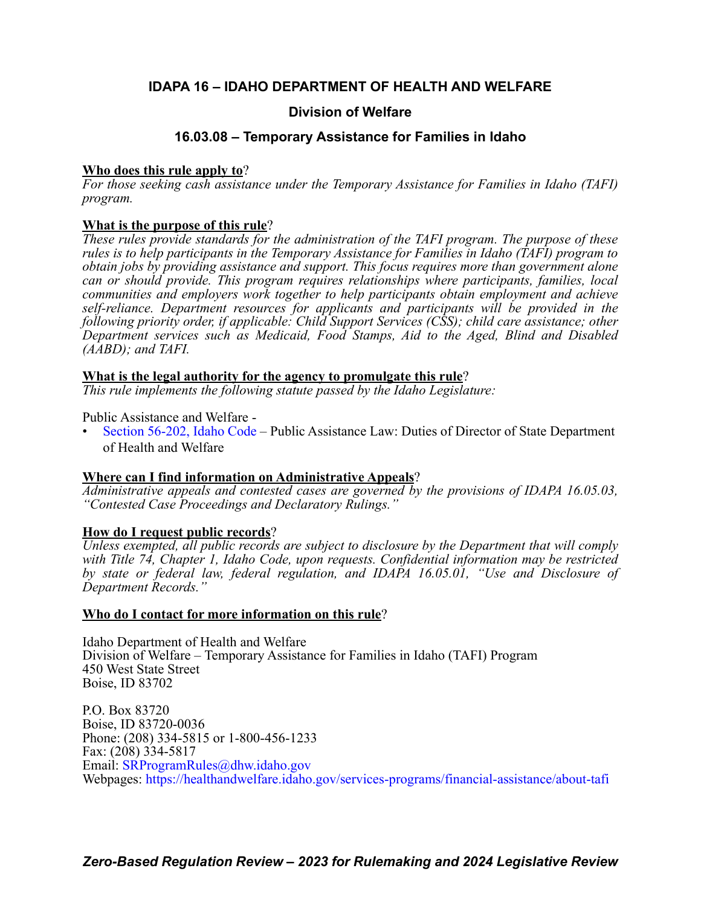### **IDAPA 16 – IDAHO DEPARTMENT OF HEALTH AND WELFARE**

### **Division of Welfare**

### **16.03.08 – Temporary Assistance for Families in Idaho**

### **Who does this rule apply to**?

*For those seeking cash assistance under the Temporary Assistance for Families in Idaho (TAFI) program.*

### **What is the purpose of this rule**?

*These rules provide standards for the administration of the TAFI program. The purpose of these rules is to help participants in the Temporary Assistance for Families in Idaho (TAFI) program to obtain jobs by providing assistance and support. This focus requires more than government alone can or should provide. This program requires relationships where participants, families, local communities and employers work together to help participants obtain employment and achieve self-reliance. Department resources for applicants and participants will be provided in the following priority order, if applicable: Child Support Services (CSS); child care assistance; other Department services such as Medicaid, Food Stamps, Aid to the Aged, Blind and Disabled (AABD); and TAFI.*

### **What is the legal authority for the agency to promulgate this rule**?

*This rule implements the following statute passed by the Idaho Legislature:*

Public Assistance and Welfare -

• [Section 56-202, Idaho Code](https://legislature.idaho.gov/statutesrules/idstat/Title56/T56CH2/SECT56-202/) – Public Assistance Law: Duties of Director of State Department of Health and Welfare

### **Where can I find information on Administrative Appeals**?

*Administrative appeals and contested cases are governed by the provisions of IDAPA 16.05.03, "Contested Case Proceedings and Declaratory Rulings."*

### **How do I request public records**?

*Unless exempted, all public records are subject to disclosure by the Department that will comply with Title 74, Chapter 1, Idaho Code, upon requests. Confidential information may be restricted by state or federal law, federal regulation, and IDAPA 16.05.01, "Use and Disclosure of Department Records."*

### **Who do I contact for more information on this rule**?

Idaho Department of Health and Welfare Division of Welfare – Temporary Assistance for Families in Idaho (TAFI) Program 450 West State Street Boise, ID 83702

P.O. Box 83720 Boise, ID 83720-0036 Phone: (208) 334-5815 or 1-800-456-1233 Fax: (208) 334-5817 Email: [SRProgramRules@dhw.idaho.gov](mailto:SRProgramRules@dhw.idaho.gov) Webpages:<https://healthandwelfare.idaho.gov/services-programs/financial-assistance/about-tafi>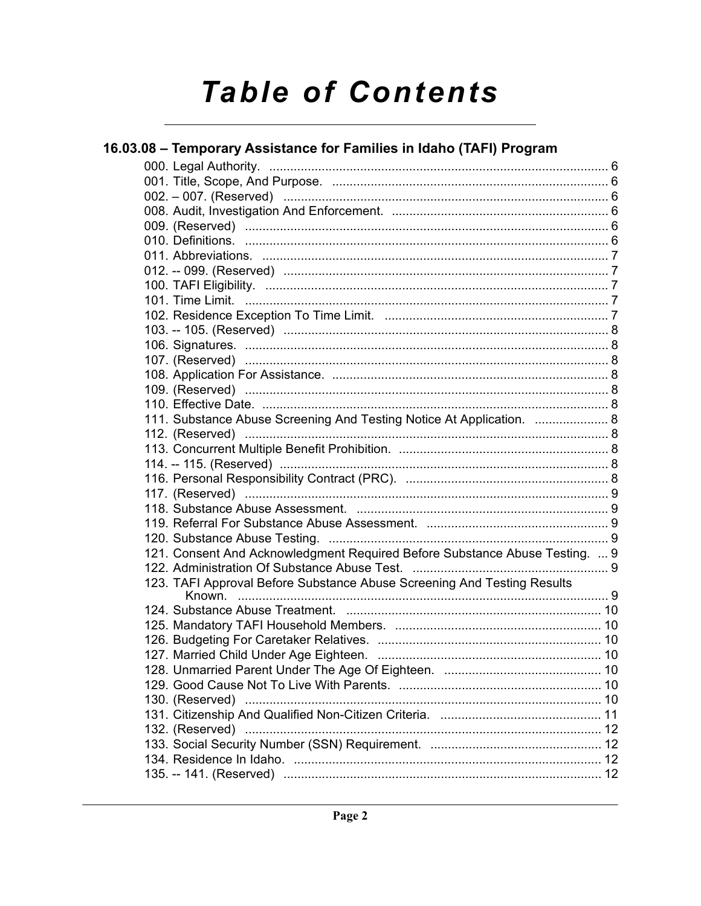# **Table of Contents**

| 16.03.08 - Temporary Assistance for Families in Idaho (TAFI) Program        |  |
|-----------------------------------------------------------------------------|--|
|                                                                             |  |
|                                                                             |  |
|                                                                             |  |
|                                                                             |  |
|                                                                             |  |
|                                                                             |  |
|                                                                             |  |
|                                                                             |  |
|                                                                             |  |
|                                                                             |  |
|                                                                             |  |
|                                                                             |  |
|                                                                             |  |
|                                                                             |  |
|                                                                             |  |
|                                                                             |  |
|                                                                             |  |
| 111. Substance Abuse Screening And Testing Notice At Application.  8        |  |
|                                                                             |  |
|                                                                             |  |
|                                                                             |  |
|                                                                             |  |
|                                                                             |  |
|                                                                             |  |
|                                                                             |  |
|                                                                             |  |
| 121. Consent And Acknowledgment Required Before Substance Abuse Testing.  9 |  |
|                                                                             |  |
| 123. TAFI Approval Before Substance Abuse Screening And Testing Results     |  |
|                                                                             |  |
|                                                                             |  |
|                                                                             |  |
|                                                                             |  |
|                                                                             |  |
|                                                                             |  |
|                                                                             |  |
| 130. (Reserved) ……………………………………………………………………………………… 10                        |  |
|                                                                             |  |
|                                                                             |  |
|                                                                             |  |
|                                                                             |  |
|                                                                             |  |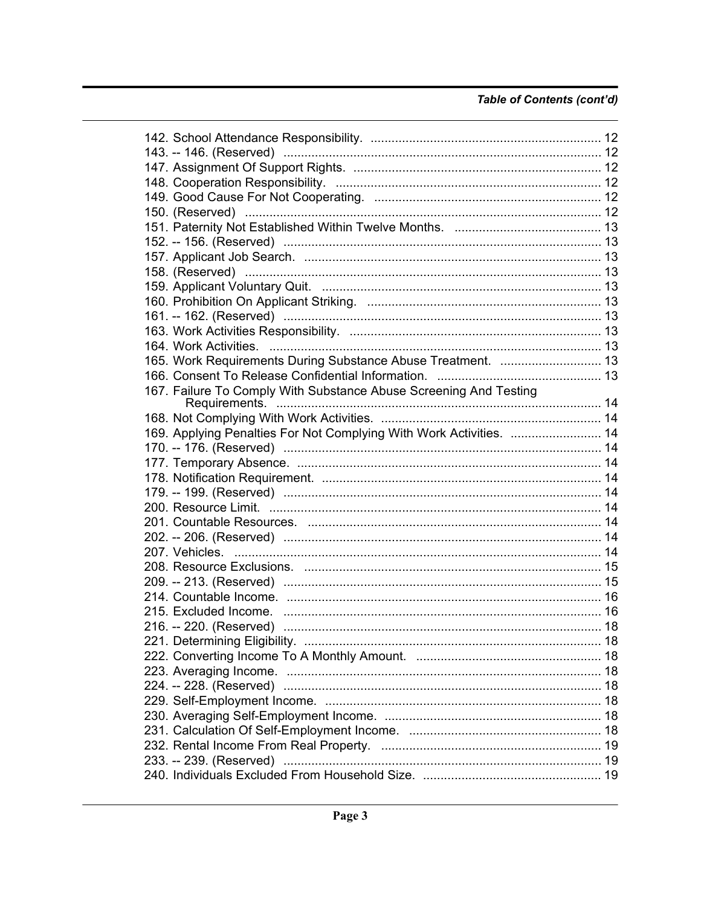### Table of Contents (cont'd)

| 158. (Reserved) …………………………………………………………………………………… 13                 |  |
|---------------------------------------------------------------------|--|
|                                                                     |  |
|                                                                     |  |
|                                                                     |  |
|                                                                     |  |
|                                                                     |  |
|                                                                     |  |
| 165. Work Requirements During Substance Abuse Treatment.  13        |  |
|                                                                     |  |
| 167. Failure To Comply With Substance Abuse Screening And Testing   |  |
|                                                                     |  |
|                                                                     |  |
| 169. Applying Penalties For Not Complying With Work Activities.  14 |  |
|                                                                     |  |
|                                                                     |  |
|                                                                     |  |
|                                                                     |  |
|                                                                     |  |
|                                                                     |  |
|                                                                     |  |
|                                                                     |  |
|                                                                     |  |
|                                                                     |  |
|                                                                     |  |
|                                                                     |  |
|                                                                     |  |
|                                                                     |  |
|                                                                     |  |
|                                                                     |  |
|                                                                     |  |
|                                                                     |  |
|                                                                     |  |
|                                                                     |  |
|                                                                     |  |
|                                                                     |  |
|                                                                     |  |
|                                                                     |  |
|                                                                     |  |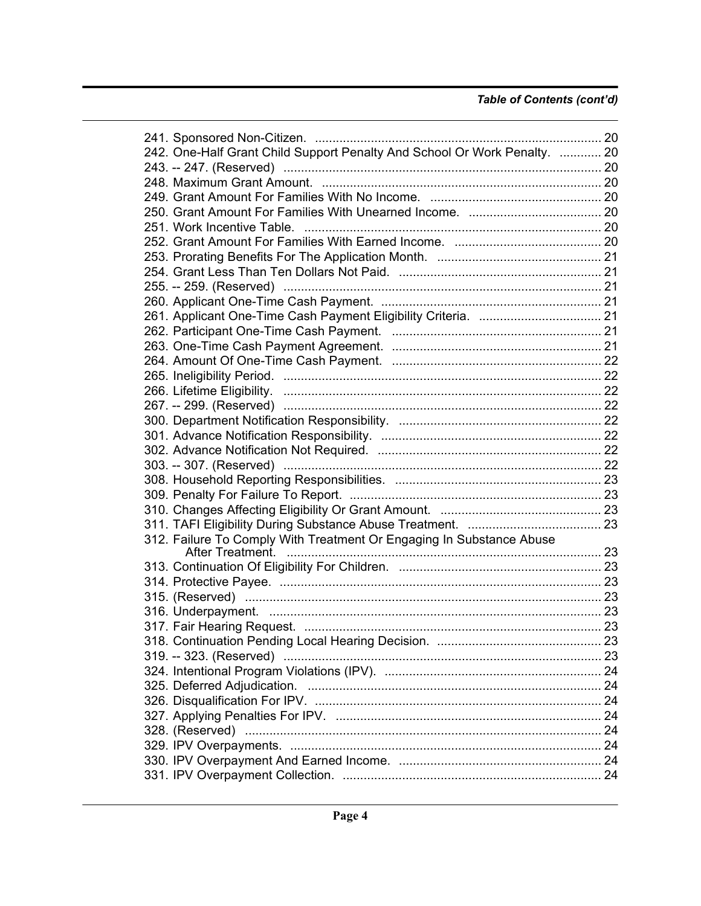### *Table of Contents (cont'd)*

| 242. One-Half Grant Child Support Penalty And School Or Work Penalty.  20 |  |
|---------------------------------------------------------------------------|--|
|                                                                           |  |
|                                                                           |  |
|                                                                           |  |
|                                                                           |  |
|                                                                           |  |
|                                                                           |  |
|                                                                           |  |
|                                                                           |  |
|                                                                           |  |
|                                                                           |  |
|                                                                           |  |
|                                                                           |  |
|                                                                           |  |
|                                                                           |  |
|                                                                           |  |
|                                                                           |  |
|                                                                           |  |
|                                                                           |  |
|                                                                           |  |
|                                                                           |  |
|                                                                           |  |
|                                                                           |  |
|                                                                           |  |
|                                                                           |  |
|                                                                           |  |
|                                                                           |  |
|                                                                           |  |
| 312. Failure To Comply With Treatment Or Engaging In Substance Abuse      |  |
|                                                                           |  |
|                                                                           |  |
|                                                                           |  |
|                                                                           |  |
|                                                                           |  |
|                                                                           |  |
|                                                                           |  |
|                                                                           |  |
|                                                                           |  |
|                                                                           |  |
|                                                                           |  |
|                                                                           |  |
|                                                                           |  |
|                                                                           |  |
|                                                                           |  |
|                                                                           |  |
|                                                                           |  |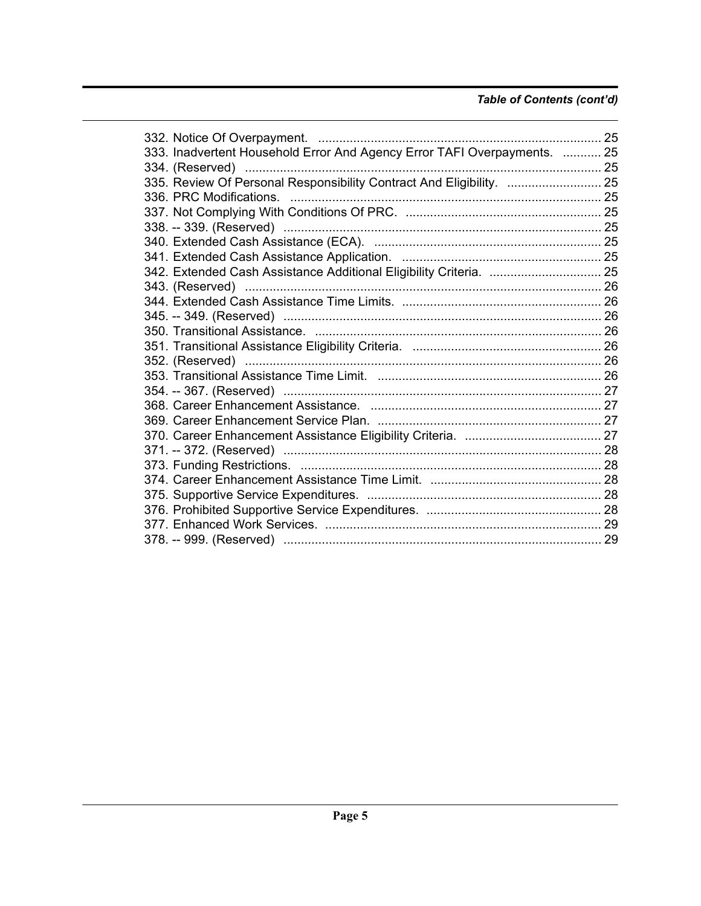### *Table of Contents (cont'd)*

| 333. Inadvertent Household Error And Agency Error TAFI Overpayments.  25 |  |
|--------------------------------------------------------------------------|--|
|                                                                          |  |
| 335. Review Of Personal Responsibility Contract And Eligibility.  25     |  |
|                                                                          |  |
|                                                                          |  |
|                                                                          |  |
|                                                                          |  |
|                                                                          |  |
| 342. Extended Cash Assistance Additional Eligibility Criteria.  25       |  |
|                                                                          |  |
|                                                                          |  |
|                                                                          |  |
|                                                                          |  |
|                                                                          |  |
|                                                                          |  |
|                                                                          |  |
|                                                                          |  |
|                                                                          |  |
|                                                                          |  |
|                                                                          |  |
|                                                                          |  |
|                                                                          |  |
|                                                                          |  |
|                                                                          |  |
|                                                                          |  |
|                                                                          |  |
|                                                                          |  |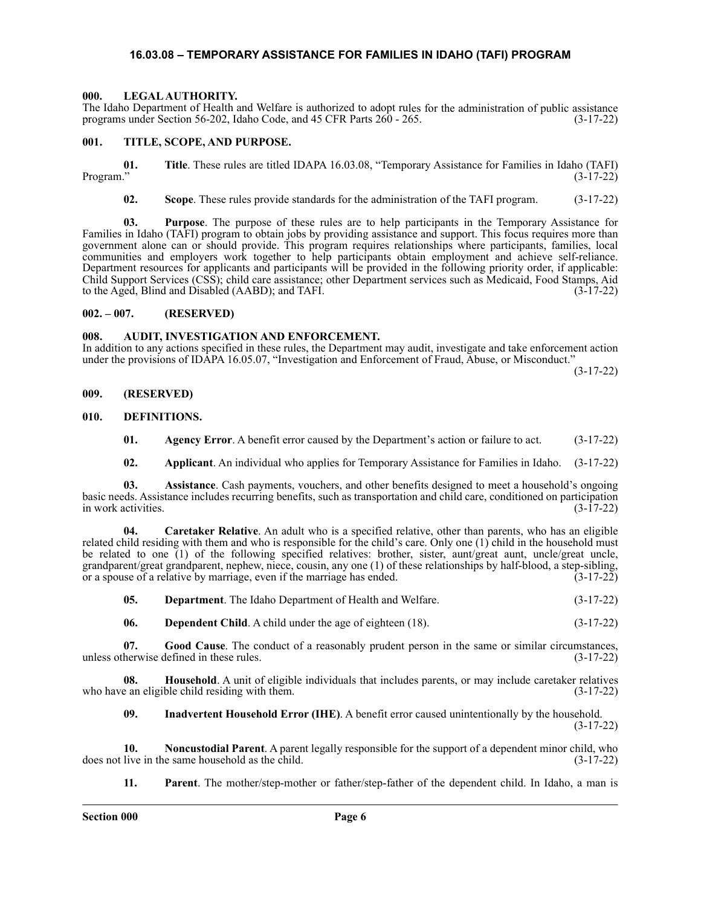### **16.03.08 – TEMPORARY ASSISTANCE FOR FAMILIES IN IDAHO (TAFI) PROGRAM**

### <span id="page-5-1"></span><span id="page-5-0"></span>**000. LEGAL AUTHORITY.**

The Idaho Department of Health and Welfare is authorized to adopt rules for the administration of public assistance programs under Section 56-202, Idaho Code, and 45 CFR Parts 260 - 265. (3-17-22)

### <span id="page-5-2"></span>**001. TITLE, SCOPE, AND PURPOSE.**

**01.** Title. These rules are titled IDAPA 16.03.08, "Temporary Assistance for Families in Idaho (TAFI) Program." (3-17-22) Program." (3-17-22)

**02. Scope**. These rules provide standards for the administration of the TAFI program. (3-17-22)

**03. Purpose**. The purpose of these rules are to help participants in the Temporary Assistance for Families in Idaho (TAFI) program to obtain jobs by providing assistance and support. This focus requires more than government alone can or should provide. This program requires relationships where participants, families, local communities and employers work together to help participants obtain employment and achieve self-reliance. Department resources for applicants and participants will be provided in the following priority order, if applicable: Child Support Services (CSS); child care assistance; other Department services such as Medicaid, Food Stamps, Aid to the Aged, Blind and Disabled (AABD); and TAFI. (3-17-22)

### <span id="page-5-3"></span>**002. – 007. (RESERVED)**

### <span id="page-5-4"></span>**008. AUDIT, INVESTIGATION AND ENFORCEMENT.**

In addition to any actions specified in these rules, the Department may audit, investigate and take enforcement action under the provisions of IDAPA 16.05.07, "Investigation and Enforcement of Fraud, Abuse, or Misconduct."

(3-17-22)

<span id="page-5-5"></span>**009. (RESERVED)**

### <span id="page-5-6"></span>**010. DEFINITIONS.**

**01.** Agency Error. A benefit error caused by the Department's action or failure to act.  $(3-17-22)$ 

**02. Applicant**. An individual who applies for Temporary Assistance for Families in Idaho. (3-17-22)

**03. Assistance**. Cash payments, vouchers, and other benefits designed to meet a household's ongoing basic needs. Assistance includes recurring benefits, such as transportation and child care, conditioned on participation in work activities.

**04. Caretaker Relative**. An adult who is a specified relative, other than parents, who has an eligible related child residing with them and who is responsible for the child's care. Only one (1) child in the household must be related to one (1) of the following specified relatives: brother, sister, aunt/great aunt, uncle/great uncle, grandparent/great grandparent, nephew, niece, cousin, any one (1) of these relationships by half-blood, a step-sibling, or a spouse of a relative by marriage, even if the marriage has ended. (3-17-22) or a spouse of a relative by marriage, even if the marriage has ended.

| 05. | <b>Department.</b> The Idaho Department of Health and Welfare. | $(3-17-22)$ |
|-----|----------------------------------------------------------------|-------------|
|-----|----------------------------------------------------------------|-------------|

**06. Dependent Child**. A child under the age of eighteen (18). (3-17-22)

**07. Good Cause**. The conduct of a reasonably prudent person in the same or similar circumstances, unless otherwise defined in these rules. (3-17-22)

**08. Household**. A unit of eligible individuals that includes parents, or may include caretaker relatives e an eligible child residing with them. who have an eligible child residing with them.

**09. Inadvertent Household Error (IHE)**. A benefit error caused unintentionally by the household. (3-17-22)

**10. Noncustodial Parent**. A parent legally responsible for the support of a dependent minor child, who does not live in the same household as the child. (3-17-22)

**11. Parent**. The mother/step-mother or father/step-father of the dependent child. In Idaho, a man is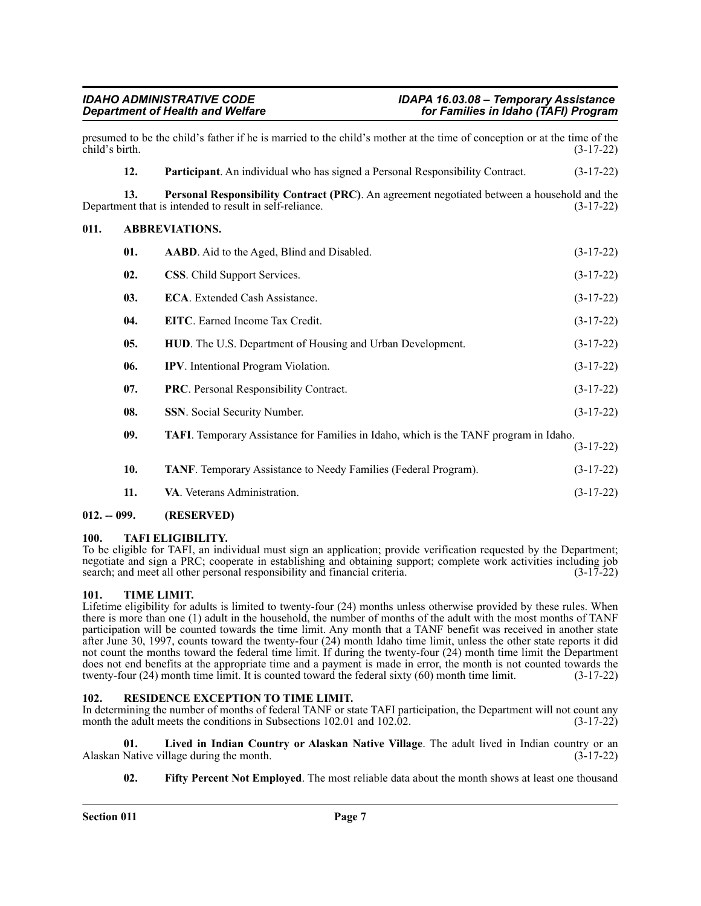<span id="page-6-0"></span>

| child's birth. |                                                                                                     | presumed to be the child's father if he is married to the child's mother at the time of conception or at the time of the                               | $(3-17-22)$ |
|----------------|-----------------------------------------------------------------------------------------------------|--------------------------------------------------------------------------------------------------------------------------------------------------------|-------------|
|                | 12.                                                                                                 | Participant. An individual who has signed a Personal Responsibility Contract.                                                                          | $(3-17-22)$ |
|                | 13.                                                                                                 | Personal Responsibility Contract (PRC). An agreement negotiated between a household and the<br>Department that is intended to result in self-reliance. | $(3-17-22)$ |
| 011.           |                                                                                                     | <b>ABBREVIATIONS.</b>                                                                                                                                  |             |
|                | 01.                                                                                                 | AABD. Aid to the Aged, Blind and Disabled.                                                                                                             | $(3-17-22)$ |
|                | 02.                                                                                                 | <b>CSS.</b> Child Support Services.                                                                                                                    | $(3-17-22)$ |
|                | 03.                                                                                                 | <b>ECA.</b> Extended Cash Assistance.                                                                                                                  | $(3-17-22)$ |
|                | 04.                                                                                                 | <b>EITC.</b> Earned Income Tax Credit.                                                                                                                 | $(3-17-22)$ |
|                | 05.                                                                                                 | HUD. The U.S. Department of Housing and Urban Development.                                                                                             | $(3-17-22)$ |
|                | 06.                                                                                                 | IPV. Intentional Program Violation.                                                                                                                    | $(3-17-22)$ |
|                | 07.                                                                                                 | PRC. Personal Responsibility Contract.                                                                                                                 | $(3-17-22)$ |
|                | 08.                                                                                                 | SSN. Social Security Number.                                                                                                                           | $(3-17-22)$ |
|                | 09.<br><b>TAFI.</b> Temporary Assistance for Families in Idaho, which is the TANF program in Idaho. |                                                                                                                                                        | $(3-17-22)$ |
|                | 10.                                                                                                 | <b>TANF.</b> Temporary Assistance to Needy Families (Federal Program).                                                                                 | $(3-17-22)$ |
|                | 11.                                                                                                 | VA. Veterans Administration.                                                                                                                           | $(3-17-22)$ |

### <span id="page-6-1"></span>**012. -- 099. (RESERVED)**

### <span id="page-6-2"></span>**100. TAFI ELIGIBILITY.**

To be eligible for TAFI, an individual must sign an application; provide verification requested by the Department; negotiate and sign a PRC; cooperate in establishing and obtaining support; complete work activities including job search; and meet all other personal responsibility and financial criteria. (3-17-22)

### <span id="page-6-3"></span>**101. TIME LIMIT.**

Lifetime eligibility for adults is limited to twenty-four (24) months unless otherwise provided by these rules. When there is more than one (1) adult in the household, the number of months of the adult with the most months of TANF participation will be counted towards the time limit. Any month that a TANF benefit was received in another state after June 30, 1997, counts toward the twenty-four (24) month Idaho time limit, unless the other state reports it did not count the months toward the federal time limit. If during the twenty-four (24) month time limit the Department does not end benefits at the appropriate time and a payment is made in error, the month is not counted towards the twenty-four (24) month time limit. It is counted toward the federal sixty (60) month time limit. (3-17-22)

### <span id="page-6-4"></span>**102. RESIDENCE EXCEPTION TO TIME LIMIT.**

In determining the number of months of federal TANF or state TAFI participation, the Department will not count any month the adult meets the conditions in Subsections 102.01 and 102.02. (3-17-22)

**01. Lived in Indian Country or Alaskan Native Village**. The adult lived in Indian country or an Alaskan Native village during the month.

**02. Fifty Percent Not Employed**. The most reliable data about the month shows at least one thousand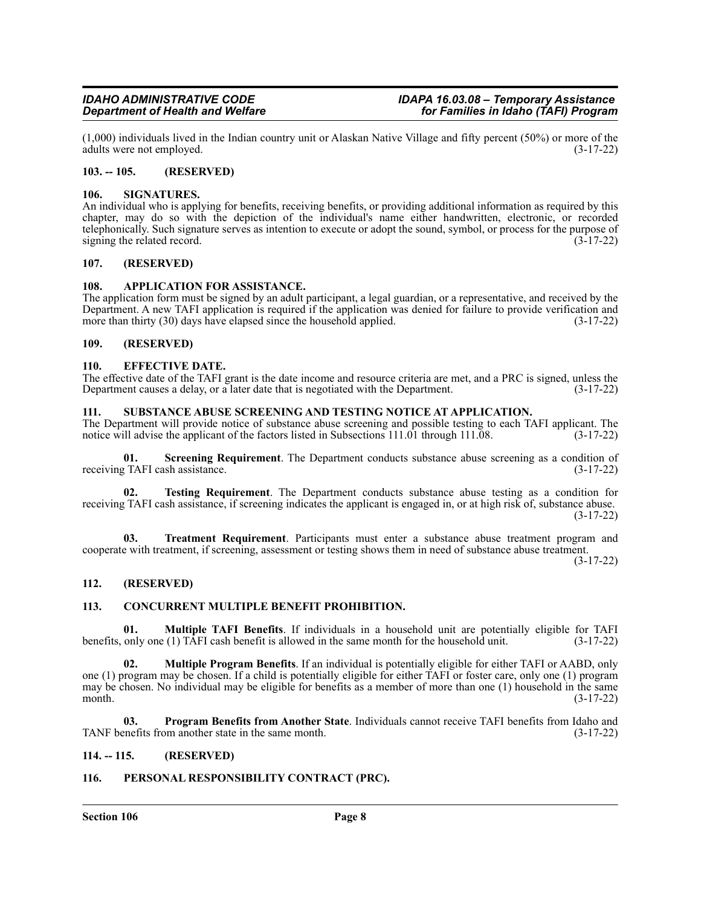$(1,000)$  individuals lived in the Indian country unit or Alaskan Native Village and fifty percent (50%) or more of the adults were not employed.  $(3-17-22)$ adults were not employed.

### <span id="page-7-0"></span>**103. -- 105. (RESERVED)**

### <span id="page-7-1"></span>**106. SIGNATURES.**

An individual who is applying for benefits, receiving benefits, or providing additional information as required by this chapter, may do so with the depiction of the individual's name either handwritten, electronic, or recorded telephonically. Such signature serves as intention to execute or adopt the sound, symbol, or process for the purpose of signing the related record.  $(3-17-22)$ 

### <span id="page-7-2"></span>**107. (RESERVED)**

### <span id="page-7-3"></span>**108. APPLICATION FOR ASSISTANCE.**

The application form must be signed by an adult participant, a legal guardian, or a representative, and received by the Department. A new TAFI application is required if the application was denied for failure to provide verification and more than thirty (30) days have elapsed since the household applied. (3-17-22) more than thirty  $(30)$  days have elapsed since the household applied.

### <span id="page-7-4"></span>**109. (RESERVED)**

### <span id="page-7-5"></span>**110. EFFECTIVE DATE.**

The effective date of the TAFI grant is the date income and resource criteria are met, and a PRC is signed, unless the Department causes a delay, or a later date that is negotiated with the Department. (3-17-22) Department causes a delay, or a later date that is negotiated with the Department.

### <span id="page-7-6"></span>**111. SUBSTANCE ABUSE SCREENING AND TESTING NOTICE AT APPLICATION.**

The Department will provide notice of substance abuse screening and possible testing to each TAFI applicant. The notice will advise the applicant of the factors listed in Subsections 111.01 through 111.08. (3-17-22)

**01. Screening Requirement**. The Department conducts substance abuse screening as a condition of receiving TAFI cash assistance. (3-17-22)

**02. Testing Requirement**. The Department conducts substance abuse testing as a condition for receiving TAFI cash assistance, if screening indicates the applicant is engaged in, or at high risk of, substance abuse. (3-17-22)

**03. Treatment Requirement**. Participants must enter a substance abuse treatment program and cooperate with treatment, if screening, assessment or testing shows them in need of substance abuse treatment.

(3-17-22)

### <span id="page-7-7"></span>**112. (RESERVED)**

### <span id="page-7-8"></span>**113. CONCURRENT MULTIPLE BENEFIT PROHIBITION.**

**01. Multiple TAFI Benefits**. If individuals in a household unit are potentially eligible for TAFI benefits, only one (1) TAFI cash benefit is allowed in the same month for the household unit. (3-17-22)

**02. Multiple Program Benefits**. If an individual is potentially eligible for either TAFI or AABD, only one (1) program may be chosen. If a child is potentially eligible for either TAFI or foster care, only one (1) program may be chosen. No individual may be eligible for benefits as a member of more than one (1) household in the same<br>(3-17-22) month. (3-17-22)

**03. Program Benefits from Another State**. Individuals cannot receive TAFI benefits from Idaho and TANF benefits from another state in the same month. (3-17-22)

### <span id="page-7-9"></span>**114. -- 115. (RESERVED)**

### <span id="page-7-10"></span>**116. PERSONAL RESPONSIBILITY CONTRACT (PRC).**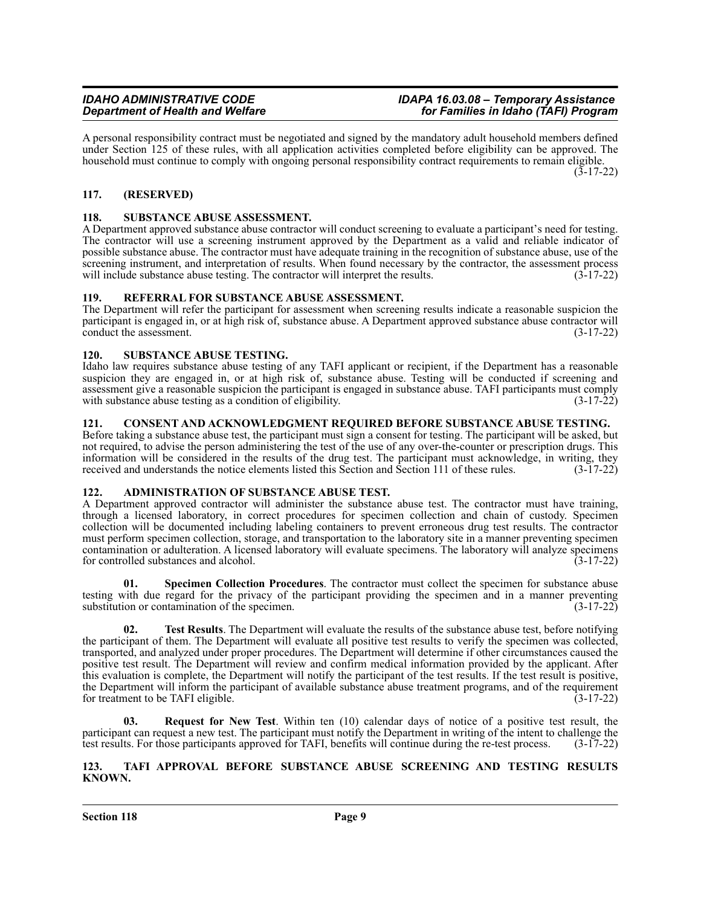A personal responsibility contract must be negotiated and signed by the mandatory adult household members defined under Section 125 of these rules, with all application activities completed before eligibility can be approved. The household must continue to comply with ongoing personal responsibility contract requirements to remain eligible. (3-17-22)

### <span id="page-8-0"></span>**117. (RESERVED)**

### <span id="page-8-1"></span>**118. SUBSTANCE ABUSE ASSESSMENT.**

A Department approved substance abuse contractor will conduct screening to evaluate a participant's need for testing. The contractor will use a screening instrument approved by the Department as a valid and reliable indicator of possible substance abuse. The contractor must have adequate training in the recognition of substance abuse, use of the screening instrument, and interpretation of results. When found necessary by the contractor, the assessment process will include substance abuse testing. The contractor will interpret the results. (3-17-22) will include substance abuse testing. The contractor will interpret the results.

### <span id="page-8-2"></span>**119. REFERRAL FOR SUBSTANCE ABUSE ASSESSMENT.**

The Department will refer the participant for assessment when screening results indicate a reasonable suspicion the participant is engaged in, or at high risk of, substance abuse. A Department approved substance abuse contractor will conduct the assessment. (3-17-22)

### <span id="page-8-3"></span>**120. SUBSTANCE ABUSE TESTING.**

Idaho law requires substance abuse testing of any TAFI applicant or recipient, if the Department has a reasonable suspicion they are engaged in, or at high risk of, substance abuse. Testing will be conducted if screening and assessment give a reasonable suspicion the participant is engaged in substance abuse. TAFI participants must comply with substance abuse testing as a condition of eligibility. (3-17-22)

### <span id="page-8-4"></span>**121. CONSENT AND ACKNOWLEDGMENT REQUIRED BEFORE SUBSTANCE ABUSE TESTING.**

Before taking a substance abuse test, the participant must sign a consent for testing. The participant will be asked, but not required, to advise the person administering the test of the use of any over-the-counter or prescription drugs. This information will be considered in the results of the drug test. The participant must acknowledge, in writing, they received and understands the notice elements listed this Section and Section 111 of these rules. (3-17-22)

### <span id="page-8-5"></span>**122. ADMINISTRATION OF SUBSTANCE ABUSE TEST.**

A Department approved contractor will administer the substance abuse test. The contractor must have training, through a licensed laboratory, in correct procedures for specimen collection and chain of custody. Specimen collection will be documented including labeling containers to prevent erroneous drug test results. The contractor must perform specimen collection, storage, and transportation to the laboratory site in a manner preventing specimen contamination or adulteration. A licensed laboratory will evaluate specimens. The laboratory will analyze specimens for controlled substances and alcohol. (3-17-22)

**01. Specimen Collection Procedures**. The contractor must collect the specimen for substance abuse testing with due regard for the privacy of the participant providing the specimen and in a manner preventing substitution or contamination of the specimen. (3-17-22)

**02. Test Results**. The Department will evaluate the results of the substance abuse test, before notifying the participant of them. The Department will evaluate all positive test results to verify the specimen was collected, transported, and analyzed under proper procedures. The Department will determine if other circumstances caused the positive test result. The Department will review and confirm medical information provided by the applicant. After this evaluation is complete, the Department will notify the participant of the test results. If the test result is positive, the Department will inform the participant of available substance abuse treatment programs, and of the requirement for treatment to be TAFI eligible. (3-17-22) for treatment to be TAFI eligible.

**03. Request for New Test**. Within ten (10) calendar days of notice of a positive test result, the participant can request a new test. The participant must notify the Department in writing of the intent to challenge the test results. For those participants approved for TAFI, benefits will continue during the re-test process. (3-17-22)

### <span id="page-8-6"></span>**123. TAFI APPROVAL BEFORE SUBSTANCE ABUSE SCREENING AND TESTING RESULTS KNOWN.**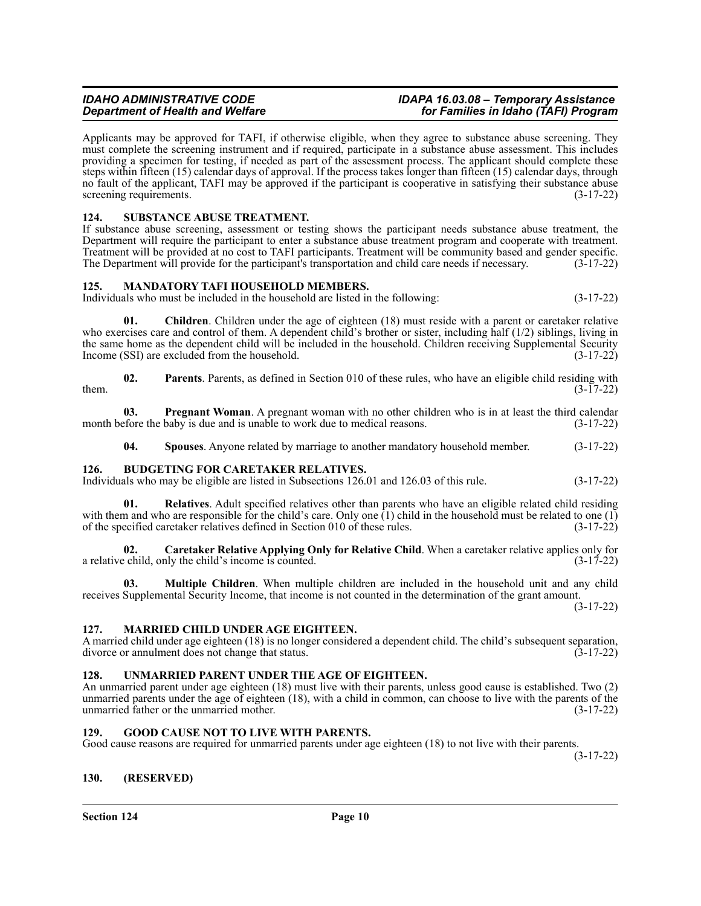### *IDAHO ADMINISTRATIVE CODE IDAPA 16.03.08 – Temporary Assistance Department of Health and Welfare for Families in Idaho (TAFI) Program*

Applicants may be approved for TAFI, if otherwise eligible, when they agree to substance abuse screening. They must complete the screening instrument and if required, participate in a substance abuse assessment. This includes providing a specimen for testing, if needed as part of the assessment process. The applicant should complete these steps within fifteen (15) calendar days of approval. If the process takes longer than fifteen (15) calendar days, through no fault of the applicant, TAFI may be approved if the participant is cooperative in satisfying their substance abuse screening requirements. (3-17-22)

### <span id="page-9-0"></span>**124. SUBSTANCE ABUSE TREATMENT.**

If substance abuse screening, assessment or testing shows the participant needs substance abuse treatment, the Department will require the participant to enter a substance abuse treatment program and cooperate with treatment. Treatment will be provided at no cost to TAFI participants. Treatment will be community based and gender specific. The Department will provide for the participant's transportation and child care needs if necessary. (3-17-22)

### <span id="page-9-1"></span>**125. MANDATORY TAFI HOUSEHOLD MEMBERS.**

Individuals who must be included in the household are listed in the following: (3-17-22)

**01. Children**. Children under the age of eighteen (18) must reside with a parent or caretaker relative who exercises care and control of them. A dependent child's brother or sister, including half (1/2) siblings, living in the same home as the dependent child will be included in the household. Children receiving Supplemental Security Income (SSI) are excluded from the household. (3-17-22)

**02.** Parents. Parents, as defined in Section 010 of these rules, who have an eligible child residing with  $(3-17-22)$ them.  $(3-17-22)$ 

**03. Pregnant Woman**. A pregnant woman with no other children who is in at least the third calendar efore the baby is due and is unable to work due to medical reasons. (3-17-22) month before the baby is due and is unable to work due to medical reasons.

**04. Spouses**. Anyone related by marriage to another mandatory household member. (3-17-22)

### <span id="page-9-2"></span>**126. BUDGETING FOR CARETAKER RELATIVES.**

Individuals who may be eligible are listed in Subsections 126.01 and 126.03 of this rule. (3-17-22)

**01. Relatives**. Adult specified relatives other than parents who have an eligible related child residing with them and who are responsible for the child's care. Only one (1) child in the household must be related to one (1) of the specified caretaker relatives defined in Section 010 of these rules. (3-17-22) of the specified caretaker relatives defined in Section 010 of these rules.

**02. Caretaker Relative Applying Only for Relative Child**. When a caretaker relative applies only for a relative child, only the child's income is counted. (3-17-22)

**03. Multiple Children**. When multiple children are included in the household unit and any child receives Supplemental Security Income, that income is not counted in the determination of the grant amount.

(3-17-22)

### <span id="page-9-3"></span>**127. MARRIED CHILD UNDER AGE EIGHTEEN.**

A married child under age eighteen (18) is no longer considered a dependent child. The child's subsequent separation, divorce or annulment does not change that status. (3-17-22) divorce or annulment does not change that status.

### <span id="page-9-4"></span>**128. UNMARRIED PARENT UNDER THE AGE OF EIGHTEEN.**

An unmarried parent under age eighteen (18) must live with their parents, unless good cause is established. Two (2) unmarried parents under the age of eighteen (18), with a child in common, can choose to live with the parents of the unmarried father or the unmarried mother. (3-17-22)

### <span id="page-9-5"></span>**129. GOOD CAUSE NOT TO LIVE WITH PARENTS.**

Good cause reasons are required for unmarried parents under age eighteen (18) to not live with their parents.

(3-17-22)

### <span id="page-9-6"></span>**130. (RESERVED)**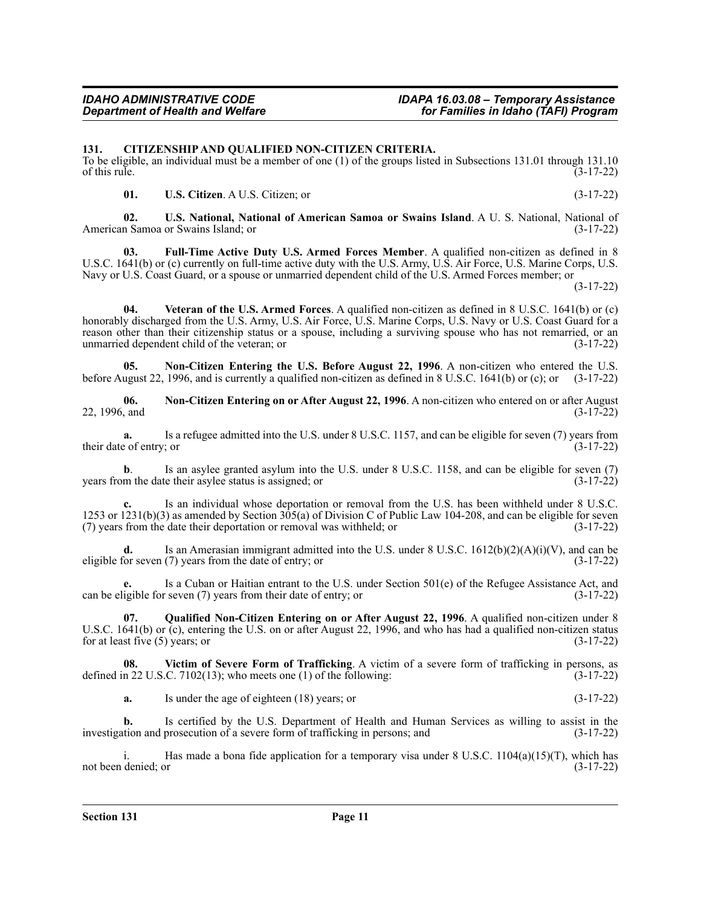### <span id="page-10-0"></span>**131. CITIZENSHIP AND QUALIFIED NON-CITIZEN CRITERIA.**

To be eligible, an individual must be a member of one (1) of the groups listed in Subsections 131.01 through 131.10<br>
(3-17-22) of this rule.  $(3-17-22)$ 

**01. U.S. Citizen**. A U.S. Citizen; or (3-17-22)

**02. U.S. National, National of American Samoa or Swains Island**. A U. S. National, National of American Samoa or Swains Island; or (3-17-22)

**03. Full-Time Active Duty U.S. Armed Forces Member**. A qualified non-citizen as defined in 8 U.S.C. 1641(b) or (c) currently on full-time active duty with the U.S. Army, U.S. Air Force, U.S. Marine Corps, U.S. Navy or U.S. Coast Guard, or a spouse or unmarried dependent child of the U.S. Armed Forces member; or

(3-17-22)

**04. Veteran of the U.S. Armed Forces**. A qualified non-citizen as defined in 8 U.S.C. 1641(b) or (c) honorably discharged from the U.S. Army, U.S. Air Force, U.S. Marine Corps, U.S. Navy or U.S. Coast Guard for a reason other than their citizenship status or a spouse, including a surviving spouse who has not remarried, or an unmarried dependent child of the veteran; or (3-17-22)

**05.** Non-Citizen Entering the U.S. Before August 22, 1996. A non-citizen who entered the U.S. ugust 22, 1996, and is currently a qualified non-citizen as defined in 8 U.S.C. 1641(b) or (c); or (3-17-22) before August 22, 1996, and is currently a qualified non-citizen as defined in 8 U.S.C. 1641(b) or (c); or

**06. Non-Citizen Entering on or After August 22, 1996**. A non-citizen who entered on or after August 22, 1996, and (3-17-22)

**a.** Is a refugee admitted into the U.S. under 8 U.S.C. 1157, and can be eligible for seven (7) years from e of entry; or  $(3-17-22)$ their date of entry; or

**b**. Is an asylee granted asylum into the U.S. under 8 U.S.C. 1158, and can be eligible for seven (7) m the date their asylee status is assigned; or (3-17-22) years from the date their asylee status is assigned; or

**c.** Is an individual whose deportation or removal from the U.S. has been withheld under 8 U.S.C. 1253 or 1231(b)(3) as amended by Section  $305(a)$  of Division C of Public Law 104-208, and can be eligible for seven (7) years from the date their deportation or removal was withheld; or  $(7)$  years from the date their deportation or removal was withheld; or

**d.** Is an Amerasian immigrant admitted into the U.S. under  $8 \text{ U.S. C. } 1612(b)(2)(A)(i)(V)$ , and can be eligible for seven (7) years from the date of entry; or (3-17-22)

**e.** Is a Cuban or Haitian entrant to the U.S. under Section 501(e) of the Refugee Assistance Act, and can be eligible for seven (7) years from their date of entry; or  $(3-17-22)$ 

**07. Qualified Non-Citizen Entering on or After August 22, 1996**. A qualified non-citizen under 8 U.S.C. 1641(b) or (c), entering the U.S. on or after August 22, 1996, and who has had a qualified non-citizen status for at least five (5) years; or  $(3-17-22)$ 

**08. Victim of Severe Form of Trafficking**. A victim of a severe form of trafficking in persons, as defined in 22 U.S.C. 7102(13); who meets one (1) of the following:  $(3-17-22)$ 

**a.** Is under the age of eighteen (18) years; or (3-17-22)

**b.** Is certified by the U.S. Department of Health and Human Services as willing to assist in the investigation and prosecution of a severe form of trafficking in persons; and (3-17-22)

i. Has made a bona fide application for a temporary visa under 8 U.S.C.  $1104(a)(15)(T)$ , which has denied; or (3-17-22) not been denied; or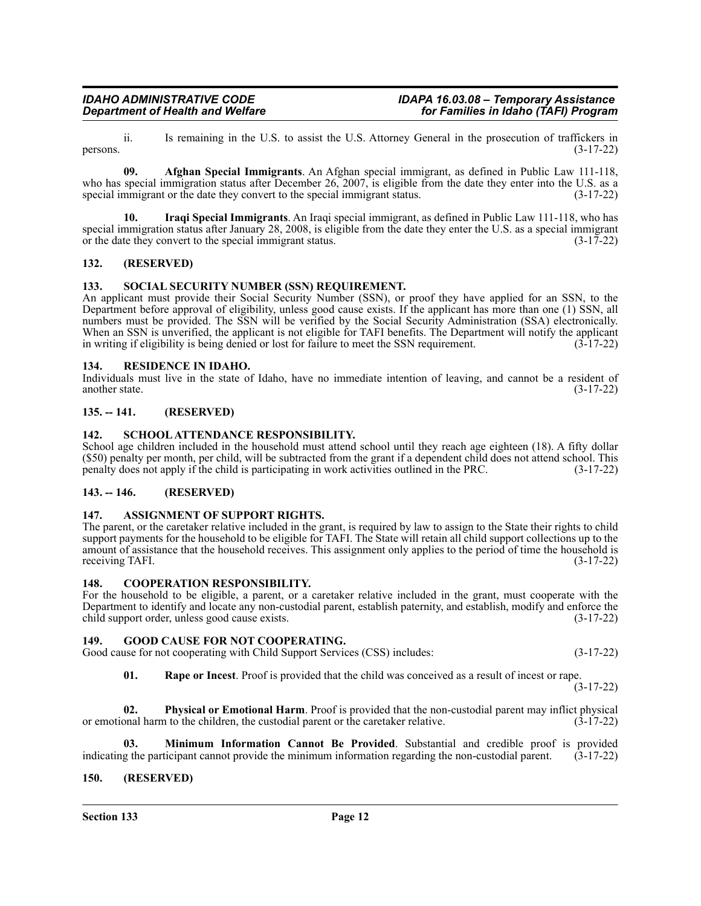ii. Is remaining in the U.S. to assist the U.S. Attorney General in the prosecution of traffickers in persons.  $(3-17-22)$ 

**09. Afghan Special Immigrants**. An Afghan special immigrant, as defined in Public Law 111-118, who has special immigration status after December 26, 2007, is eligible from the date they enter into the U.S. as a special immigrant or the date they convert to the special immigrant status.  $(3-17-22)$ 

**10. Iraqi Special Immigrants**. An Iraqi special immigrant, as defined in Public Law 111-118, who has special immigration status after January 28, 2008, is eligible from the date they enter the U.S. as a special immigrant or the date they convert to the special immigrant status. (3-17-22)

### <span id="page-11-0"></span>**132. (RESERVED)**

### <span id="page-11-1"></span>**133. SOCIAL SECURITY NUMBER (SSN) REQUIREMENT.**

An applicant must provide their Social Security Number (SSN), or proof they have applied for an SSN, to the Department before approval of eligibility, unless good cause exists. If the applicant has more than one (1) SSN, all numbers must be provided. The SSN will be verified by the Social Security Administration (SSA) electronically. When an SSN is unverified, the applicant is not eligible for TAFI benefits. The Department will notify the applicant in writing if eligibility is being denied or lost for failure to meet the SSN requirement. (3-17-22)

### <span id="page-11-2"></span>**134. RESIDENCE IN IDAHO.**

Individuals must live in the state of Idaho, have no immediate intention of leaving, and cannot be a resident of another state. (3-17-22) another state. (3-17-22)

### <span id="page-11-3"></span>**135. -- 141. (RESERVED)**

### <span id="page-11-4"></span>**142. SCHOOL ATTENDANCE RESPONSIBILITY.**

School age children included in the household must attend school until they reach age eighteen (18). A fifty dollar (\$50) penalty per month, per child, will be subtracted from the grant if a dependent child does not attend school. This penalty does not apply if the child is participating in work activities outlined in the PRC. (3-17-22)

### <span id="page-11-5"></span>**143. -- 146. (RESERVED)**

### <span id="page-11-6"></span>**147. ASSIGNMENT OF SUPPORT RIGHTS.**

The parent, or the caretaker relative included in the grant, is required by law to assign to the State their rights to child support payments for the household to be eligible for TAFI. The State will retain all child support collections up to the amount of assistance that the household receives. This assignment only applies to the period of time the household is receiving TAFI. (3-17-22)

### <span id="page-11-7"></span>**148. COOPERATION RESPONSIBILITY.**

For the household to be eligible, a parent, or a caretaker relative included in the grant, must cooperate with the Department to identify and locate any non-custodial parent, establish paternity, and establish, modify and enforce the child support order, unless good cause exists. (3-17-22)

<span id="page-11-8"></span>**149. GOOD CAUSE FOR NOT COOPERATING.** Good cause for not cooperating with Child Support Services (CSS) includes: (3-17-22)

**01. Rape or Incest**. Proof is provided that the child was conceived as a result of incest or rape.

(3-17-22)

**02. Physical or Emotional Harm**. Proof is provided that the non-custodial parent may inflict physical or emotional harm to the children, the custodial parent or the caretaker relative. (3-17-22)

**Minimum Information Cannot Be Provided**. Substantial and credible proof is provided dicipant cannot provide the minimum information regarding the non-custodial parent. (3-17-22) indicating the participant cannot provide the minimum information regarding the non-custodial parent.

### <span id="page-11-9"></span>**150. (RESERVED)**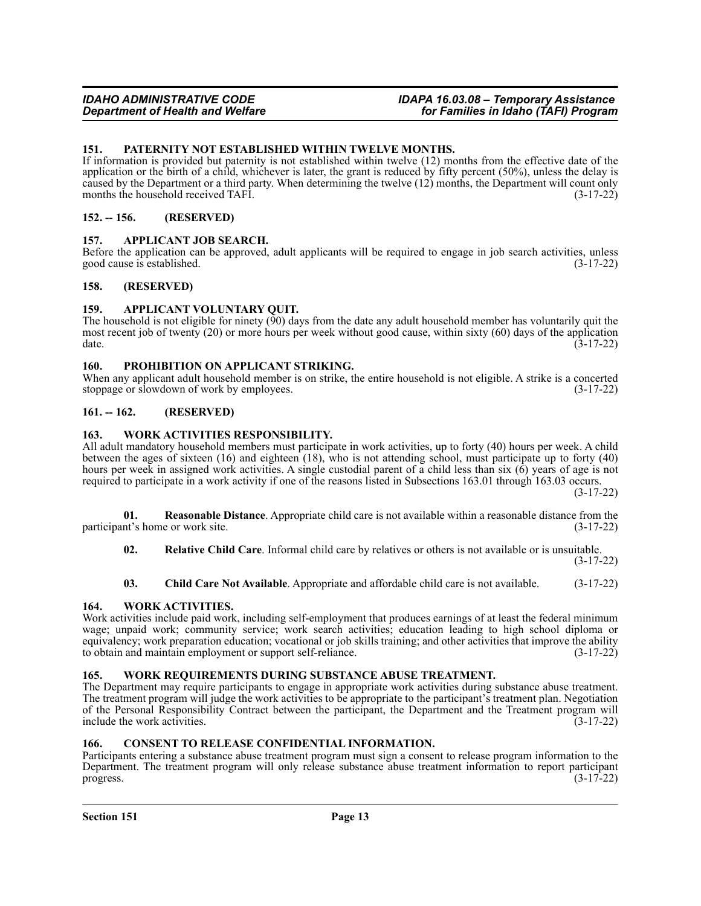### <span id="page-12-0"></span>**151. PATERNITY NOT ESTABLISHED WITHIN TWELVE MONTHS.**

If information is provided but paternity is not established within twelve (12) months from the effective date of the application or the birth of a child, whichever is later, the grant is reduced by fifty percent (50%), unless the delay is caused by the Department or a third party. When determining the twelve (12) months, the Department will count only months the household received TAFI. (3-17-22)

### <span id="page-12-1"></span>**152. -- 156. (RESERVED)**

### <span id="page-12-2"></span>**157. APPLICANT JOB SEARCH.**

Before the application can be approved, adult applicants will be required to engage in job search activities, unless good cause is established. (3-17-22)

### <span id="page-12-3"></span>**158. (RESERVED)**

### <span id="page-12-4"></span>**159. APPLICANT VOLUNTARY QUIT.**

The household is not eligible for ninety  $(90)$  days from the date any adult household member has voluntarily quit the most recent job of twenty (20) or more hours per week without good cause, within sixty (60) days of the application  $\frac{3-17-22}{2}$ 

### <span id="page-12-5"></span>**160. PROHIBITION ON APPLICANT STRIKING.**

When any applicant adult household member is on strike, the entire household is not eligible. A strike is a concerted stoppage or slowdown of work by employees. (3-17-22)

### <span id="page-12-6"></span>**161. -- 162. (RESERVED)**

### <span id="page-12-7"></span>**163. WORK ACTIVITIES RESPONSIBILITY.**

All adult mandatory household members must participate in work activities, up to forty (40) hours per week. A child between the ages of sixteen (16) and eighteen (18), who is not attending school, must participate up to forty (40) hours per week in assigned work activities. A single custodial parent of a child less than six (6) years of age is not required to participate in a work activity if one of the reasons listed in Subsections 163.01 through 163.03 occurs.

(3-17-22)

**01. Reasonable Distance**. Appropriate child care is not available within a reasonable distance from the participant's home or work site.

**02. Relative Child Care**. Informal child care by relatives or others is not available or is unsuitable. (3-17-22)

**03. Child Care Not Available**. Appropriate and affordable child care is not available. (3-17-22)

### <span id="page-12-8"></span>**164. WORK ACTIVITIES.**

Work activities include paid work, including self-employment that produces earnings of at least the federal minimum wage; unpaid work; community service; work search activities; education leading to high school diploma or equivalency; work preparation education; vocational or job skills training; and other activities that improve the ability to obtain and maintain employment or support self-reliance. to obtain and maintain employment or support self-reliance.

### <span id="page-12-9"></span>**165. WORK REQUIREMENTS DURING SUBSTANCE ABUSE TREATMENT.**

The Department may require participants to engage in appropriate work activities during substance abuse treatment. The treatment program will judge the work activities to be appropriate to the participant's treatment plan. Negotiation of the Personal Responsibility Contract between the participant, the Department and the Treatment program will include the work activities. (3-17-22)

### <span id="page-12-10"></span>**166. CONSENT TO RELEASE CONFIDENTIAL INFORMATION.**

Participants entering a substance abuse treatment program must sign a consent to release program information to the Department. The treatment program will only release substance abuse treatment information to report participant progress.  $(3-17-22)$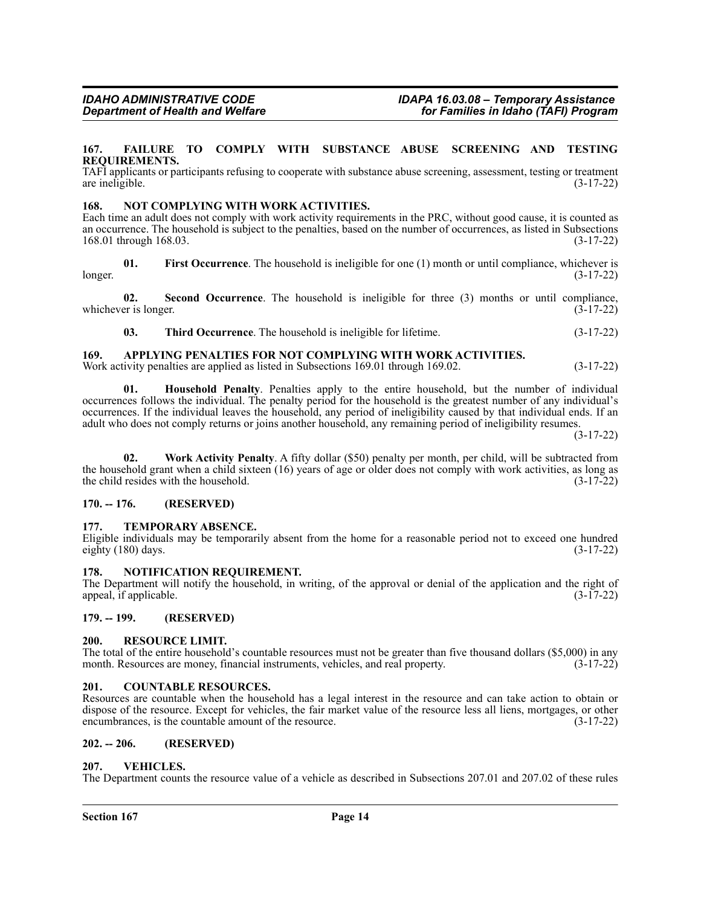### <span id="page-13-0"></span>**167. FAILURE TO COMPLY WITH SUBSTANCE ABUSE SCREENING AND TESTING REQUIREMENTS.**

TAFI applicants or participants refusing to cooperate with substance abuse screening, assessment, testing or treatment are ineligible. (3-17-22)

### <span id="page-13-1"></span>**168. NOT COMPLYING WITH WORK ACTIVITIES.**

Each time an adult does not comply with work activity requirements in the PRC, without good cause, it is counted as an occurrence. The household is subject to the penalties, based on the number of occurrences, as listed in Subsections 168.01 through 168.03. (3-17-22)

**01.** First Occurrence. The household is ineligible for one (1) month or until compliance, whichever is (3-17-22) longer. (3-17-22)

**02.** Second Occurrence. The household is ineligible for three (3) months or until compliance, er is longer. (3-17-22) whichever is longer.

**03. Third Occurrence**. The household is ineligible for lifetime. (3-17-22)

### <span id="page-13-2"></span>**169. APPLYING PENALTIES FOR NOT COMPLYING WITH WORK ACTIVITIES.**

Work activity penalties are applied as listed in Subsections 169.01 through 169.02. (3-17-22)

**01. Household Penalty**. Penalties apply to the entire household, but the number of individual occurrences follows the individual. The penalty period for the household is the greatest number of any individual's occurrences. If the individual leaves the household, any period of ineligibility caused by that individual ends. If an adult who does not comply returns or joins another household, any remaining period of ineligibility resumes.

(3-17-22)

**02. Work Activity Penalty**. A fifty dollar (\$50) penalty per month, per child, will be subtracted from the household grant when a child sixteen (16) years of age or older does not comply with work activities, as long as the child resides with the household.  $(3-17-22)$ the child resides with the household.

### <span id="page-13-3"></span>**170. -- 176. (RESERVED)**

### <span id="page-13-4"></span>**177. TEMPORARY ABSENCE.**

Eligible individuals may be temporarily absent from the home for a reasonable period not to exceed one hundred eighty  $(180)$  days.  $(3-17-22)$ 

### <span id="page-13-5"></span>**178. NOTIFICATION REQUIREMENT.**

The Department will notify the household, in writing, of the approval or denial of the application and the right of appeal, if applicable. (3-17-22)

### <span id="page-13-6"></span>**179. -- 199. (RESERVED)**

### <span id="page-13-7"></span>**200. RESOURCE LIMIT.**

The total of the entire household's countable resources must not be greater than five thousand dollars (\$5,000) in any month. Resources are money, financial instruments, vehicles, and real property.  $(3-17-22)$ 

### <span id="page-13-8"></span>**201. COUNTABLE RESOURCES.**

Resources are countable when the household has a legal interest in the resource and can take action to obtain or dispose of the resource. Except for vehicles, the fair market value of the resource less all liens, mortgages, or other encumbrances, is the countable amount of the resource. (3-17-22)

### <span id="page-13-9"></span>**202. -- 206. (RESERVED)**

### <span id="page-13-10"></span>**207. VEHICLES.**

The Department counts the resource value of a vehicle as described in Subsections 207.01 and 207.02 of these rules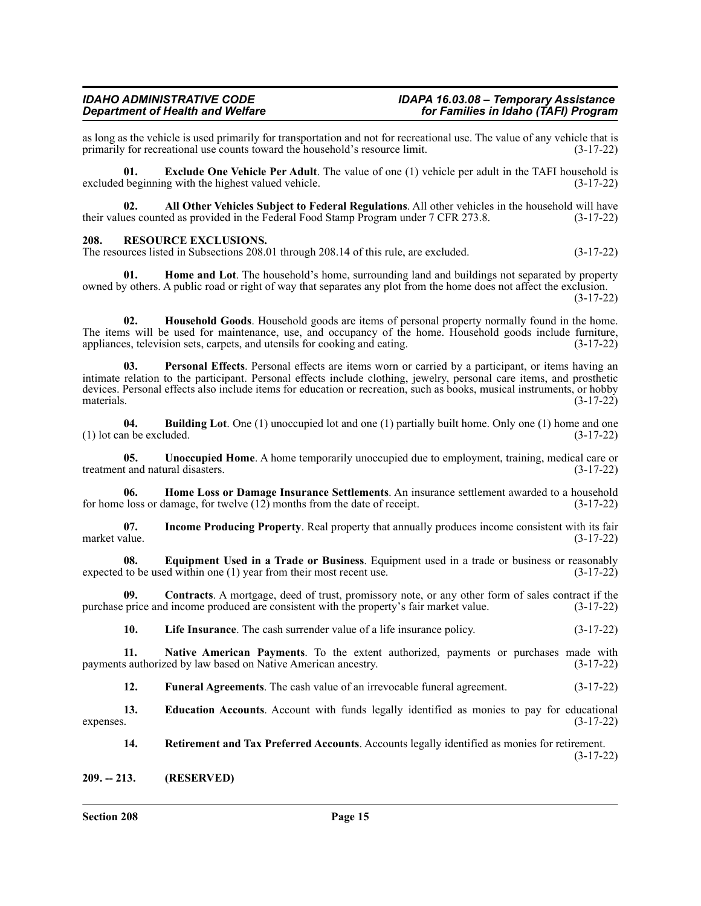## *Department of Health and Welfare for Families in Idaho (TAFI) Program*

as long as the vehicle is used primarily for transportation and not for recreational use. The value of any vehicle that is primarily for recreational use counts toward the household's resource limit.  $(3-17-22)$ primarily for recreational use counts toward the household's resource limit.

**01. Exclude One Vehicle Per Adult**. The value of one (1) vehicle per adult in the TAFI household is excluded beginning with the highest valued vehicle. (3-17-22)

**02. All Other Vehicles Subject to Federal Regulations**. All other vehicles in the household will have their values counted as provided in the Federal Food Stamp Program under 7 CFR 273.8. (3-17-22)

### <span id="page-14-0"></span>**208. RESOURCE EXCLUSIONS.**

The resources listed in Subsections 208.01 through 208.14 of this rule, are excluded. (3-17-22)

**01. Home and Lot**. The household's home, surrounding land and buildings not separated by property owned by others. A public road or right of way that separates any plot from the home does not affect the exclusion. (3-17-22)

**02. Household Goods**. Household goods are items of personal property normally found in the home. The items will be used for maintenance, use, and occupancy of the home. Household goods include furniture, appliances, television sets, carpets, and utensils for cooking and eating. (3-17-22)

**03. Personal Effects**. Personal effects are items worn or carried by a participant, or items having an intimate relation to the participant. Personal effects include clothing, jewelry, personal care items, and prosthetic devices. Personal effects also include items for education or recreation, such as books, musical instruments, or hobby materials. (3-17-22)

**04. Building Lot**. One (1) unoccupied lot and one (1) partially built home. Only one (1) home and one  $(1)$  lot can be excluded.  $(3-17-22)$ 

**05. Unoccupied Home**. A home temporarily unoccupied due to employment, training, medical care or treatment and natural disasters. (3-17-22)

**06. Home Loss or Damage Insurance Settlements**. An insurance settlement awarded to a household for home loss or damage, for twelve (12) months from the date of receipt. (3-17-22)

**07. Income Producing Property**. Real property that annually produces income consistent with its fair market value. (3-17-22)

**08. Equipment Used in a Trade or Business**. Equipment used in a trade or business or reasonably expected to be used within one (1) year from their most recent use. (3-17-22)

**09. Contracts**. A mortgage, deed of trust, promissory note, or any other form of sales contract if the purchase price and income produced are consistent with the property's fair market value. (3-17-22)

**10. Life Insurance**. The cash surrender value of a life insurance policy. (3-17-22)

**11. Native American Payments**. To the extent authorized, payments or purchases made with payments authorized by law based on Native American ancestry. (3-17-22)

**12. Funeral Agreements**. The cash value of an irrevocable funeral agreement. (3-17-22)

**13. Education Accounts**. Account with funds legally identified as monies to pay for educational expenses.  $(3-17-22)$ 

**14. Retirement and Tax Preferred Accounts**. Accounts legally identified as monies for retirement. (3-17-22)

<span id="page-14-1"></span>**209. -- 213. (RESERVED)**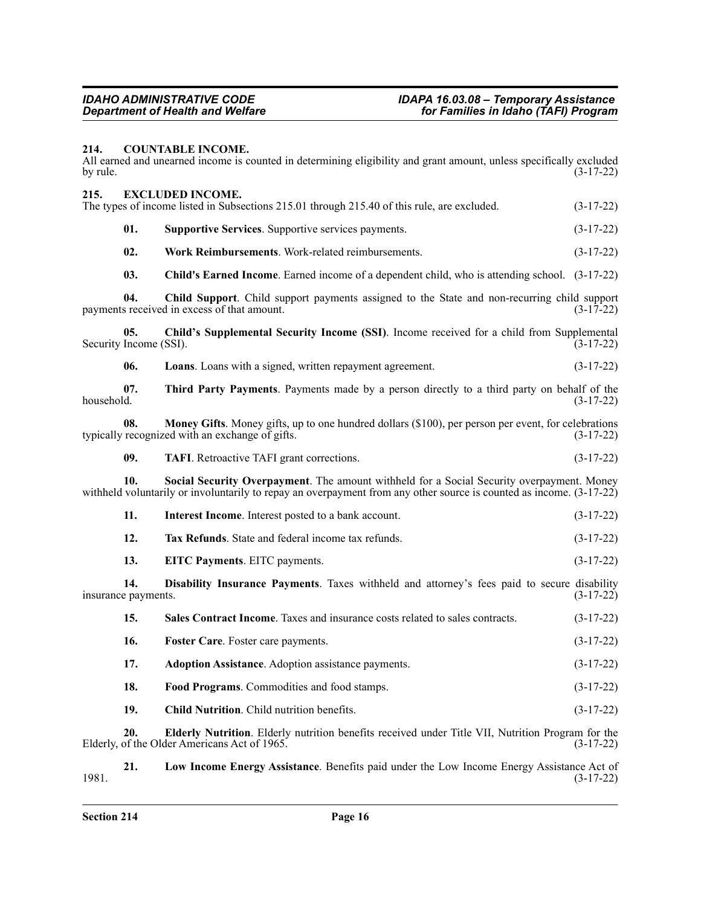### <span id="page-15-0"></span>**214. COUNTABLE INCOME.**

All earned and unearned income is counted in determining eligibility and grant amount, unless specifically excluded by rule. (3-17-22) by rule.  $(3-17-22)$ 

<span id="page-15-1"></span>

| 215.       |                               |                                                                                                                                                                                                                  |             |
|------------|-------------------------------|------------------------------------------------------------------------------------------------------------------------------------------------------------------------------------------------------------------|-------------|
|            |                               | <b>EXCLUDED INCOME.</b><br>The types of income listed in Subsections 215.01 through 215.40 of this rule, are excluded.                                                                                           | $(3-17-22)$ |
|            | 01.                           | Supportive Services. Supportive services payments.                                                                                                                                                               | $(3-17-22)$ |
|            | 02.                           | Work Reimbursements. Work-related reimbursements.                                                                                                                                                                | $(3-17-22)$ |
|            | 03.                           | Child's Earned Income. Earned income of a dependent child, who is attending school. (3-17-22)                                                                                                                    |             |
|            | 04.                           | Child Support. Child support payments assigned to the State and non-recurring child support<br>payments received in excess of that amount.                                                                       | $(3-17-22)$ |
|            | 05.<br>Security Income (SSI). | Child's Supplemental Security Income (SSI). Income received for a child from Supplemental                                                                                                                        | $(3-17-22)$ |
|            | 06.                           | Loans. Loans with a signed, written repayment agreement.                                                                                                                                                         | $(3-17-22)$ |
| household. | 07.                           | Third Party Payments. Payments made by a person directly to a third party on behalf of the                                                                                                                       | $(3-17-22)$ |
|            | 08.                           | Money Gifts. Money gifts, up to one hundred dollars (\$100), per person per event, for celebrations<br>typically recognized with an exchange of gifts.                                                           | $(3-17-22)$ |
|            | 09.                           | <b>TAFI.</b> Retroactive TAFI grant corrections.                                                                                                                                                                 | $(3-17-22)$ |
|            | 10.                           | Social Security Overpayment. The amount withheld for a Social Security overpayment. Money<br>withheld voluntarily or involuntarily to repay an overpayment from any other source is counted as income. (3-17-22) |             |
|            | 11.                           | Interest Income. Interest posted to a bank account.                                                                                                                                                              | $(3-17-22)$ |
|            | 12.                           | Tax Refunds. State and federal income tax refunds.                                                                                                                                                               | $(3-17-22)$ |
|            | 13.                           | EITC Payments. EITC payments.                                                                                                                                                                                    | $(3-17-22)$ |
|            | 14.<br>insurance payments.    | Disability Insurance Payments. Taxes withheld and attorney's fees paid to secure disability                                                                                                                      | $(3-17-22)$ |
|            | 15.                           | Sales Contract Income. Taxes and insurance costs related to sales contracts.                                                                                                                                     | $(3-17-22)$ |
|            | 16.                           | Foster Care. Foster care payments.                                                                                                                                                                               | $(3-17-22)$ |
|            | 17.                           | <b>Adoption Assistance</b> . Adoption assistance payments.                                                                                                                                                       | $(3-17-22)$ |
|            | 18.                           | Food Programs. Commodities and food stamps.                                                                                                                                                                      | $(3-17-22)$ |
|            | 19.                           | <b>Child Nutrition.</b> Child nutrition benefits.                                                                                                                                                                | $(3-17-22)$ |
|            | 20.                           | Elderly Nutrition. Elderly nutrition benefits received under Title VII, Nutrition Program for the<br>Elderly, of the Older Americans Act of 1965.                                                                | $(3-17-22)$ |

**21. Low Income Energy Assistance**. Benefits paid under the Low Income Energy Assistance Act of 1981. (3-17-22)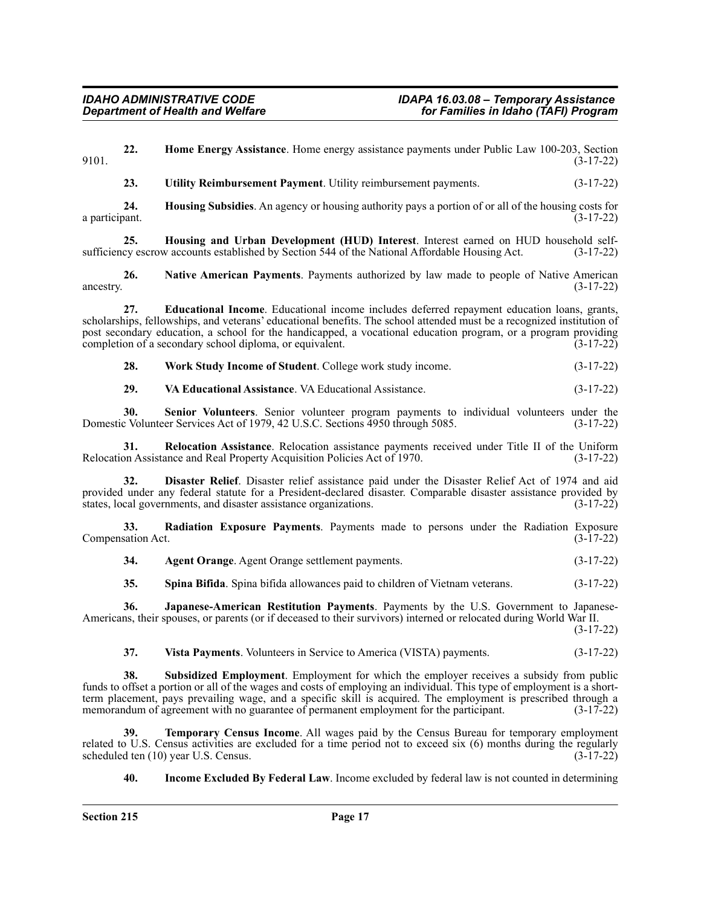**22. Home Energy Assistance**. Home energy assistance payments under Public Law 100-203, Section 9101. (3-17-22)

**23. Utility Reimbursement Payment**. Utility reimbursement payments. (3-17-22)

**24. Housing Subsidies**. An agency or housing authority pays a portion of or all of the housing costs for a participant.  $(3-17-22)$ 

**25. Housing and Urban Development (HUD) Interest**. Interest earned on HUD household selfsufficiency escrow accounts established by Section 544 of the National Affordable Housing Act. (3-17-22)

**26. Native American Payments**. Payments authorized by law made to people of Native American ancestry.  $(3-17-22)$ 

**27. Educational Income**. Educational income includes deferred repayment education loans, grants, scholarships, fellowships, and veterans' educational benefits. The school attended must be a recognized institution of post secondary education, a school for the handicapped, a vocational education program, or a program providing completion of a secondary school diploma, or equivalent. (3-17-22)

**28. Work Study Income of Student**. College work study income. (3-17-22)

**29. VA Educational Assistance**. VA Educational Assistance. (3-17-22)

**30.** Senior Volunteers. Senior volunteer program payments to individual volunteers under the cylolunteer Services Act of 1979, 42 U.S.C. Sections 4950 through 5085. Domestic Volunteer Services Act of 1979, 42 U.S.C. Sections 4950 through 5085.

**31. Relocation Assistance**. Relocation assistance payments received under Title II of the Uniform Relocation Assistance and Real Property Acquisition Policies Act of 1970. (3-17-22)

**32. Disaster Relief**. Disaster relief assistance paid under the Disaster Relief Act of 1974 and aid provided under any federal statute for a President-declared disaster. Comparable disaster assistance provided by states, local governments, and disaster assistance organizations. (3-17-22)

**33. Radiation Exposure Payments**. Payments made to persons under the Radiation Exposure Compensation Act. (3-17-22)

**34. Agent Orange**. Agent Orange settlement payments. (3-17-22)

**35. Spina Bifida**. Spina bifida allowances paid to children of Vietnam veterans. (3-17-22)

**36. Japanese-American Restitution Payments**. Payments by the U.S. Government to Japanese-Americans, their spouses, or parents (or if deceased to their survivors) interned or relocated during World War II.

(3-17-22)

**37. Vista Payments**. Volunteers in Service to America (VISTA) payments. (3-17-22)

**38. Subsidized Employment**. Employment for which the employer receives a subsidy from public funds to offset a portion or all of the wages and costs of employing an individual. This type of employment is a shortterm placement, pays prevailing wage, and a specific skill is acquired. The employment is prescribed through a memorandum of agreement with no guarantee of permanent employment for the participant. (3-17-22)

**39. Temporary Census Income**. All wages paid by the Census Bureau for temporary employment related to U.S. Census activities are excluded for a time period not to exceed six (6) months during the regularly scheduled ten (10) year U.S. Census. (3-17-22) scheduled ten (10) year U.S. Census.

**40. Income Excluded By Federal Law**. Income excluded by federal law is not counted in determining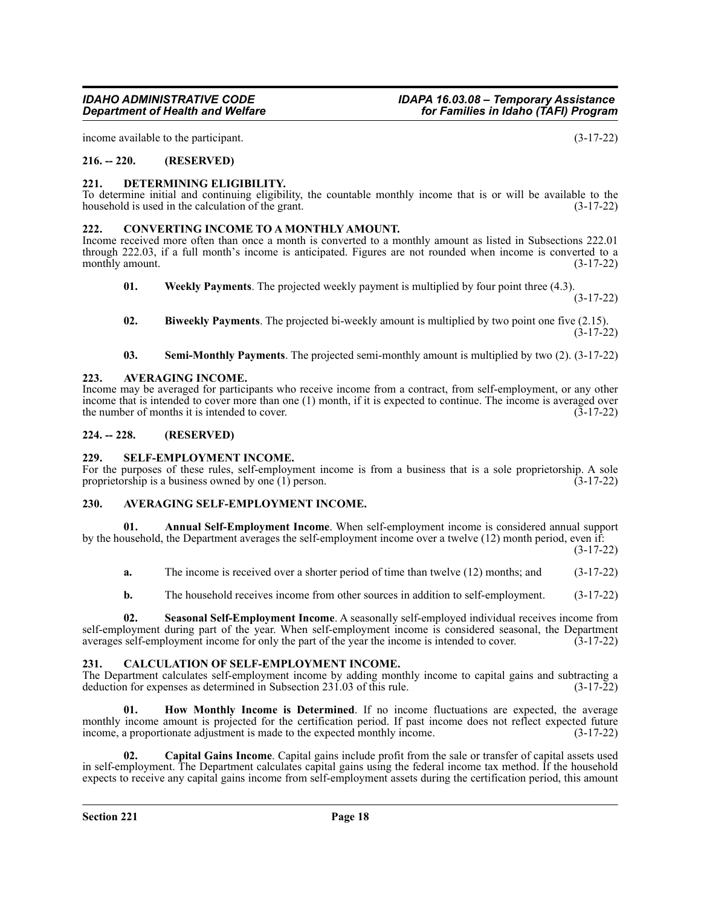income available to the participant. (3-17-22)

### <span id="page-17-0"></span>**216. -- 220. (RESERVED)**

### <span id="page-17-1"></span>**221. DETERMINING ELIGIBILITY.**

To determine initial and continuing eligibility, the countable monthly income that is or will be available to the household is used in the calculation of the grant. household is used in the calculation of the grant.

### <span id="page-17-2"></span>**222. CONVERTING INCOME TO A MONTHLY AMOUNT.**

Income received more often than once a month is converted to a monthly amount as listed in Subsections 222.01 through 222.03, if a full month's income is anticipated. Figures are not rounded when income is converted to a monthly amount. (3-17-22)

**01. Weekly Payments**. The projected weekly payment is multiplied by four point three (4.3).

(3-17-22)

- **02. Biweekly Payments**. The projected bi-weekly amount is multiplied by two point one five (2.15). (3-17-22)
- **03. Semi-Monthly Payments**. The projected semi-monthly amount is multiplied by two (2). (3-17-22)

### <span id="page-17-3"></span>**223. AVERAGING INCOME.**

Income may be averaged for participants who receive income from a contract, from self-employment, or any other income that is intended to cover more than one (1) month, if it is expected to continue. The income is averaged over the number of months it is intended to cover.  $(\overline{3} - 17 - 22)$ 

### <span id="page-17-4"></span>**224. -- 228. (RESERVED)**

### <span id="page-17-5"></span>**229. SELF-EMPLOYMENT INCOME.**

For the purposes of these rules, self-employment income is from a business that is a sole proprietorship. A sole proprietorship is a business owned by one (1) person. (3-17-22) proprietorship is a business owned by one  $(1)$  person.

### <span id="page-17-6"></span>**230. AVERAGING SELF-EMPLOYMENT INCOME.**

**01. Annual Self-Employment Income**. When self-employment income is considered annual support by the household, the Department averages the self-employment income over a twelve (12) month period, even if:

(3-17-22)

- **a.** The income is received over a shorter period of time than twelve (12) months; and (3-17-22)
- **b.** The household receives income from other sources in addition to self-employment. (3-17-22)

**02. Seasonal Self-Employment Income**. A seasonally self-employed individual receives income from self-employment during part of the year. When self-employment income is considered seasonal, the Department averages self-employment income for only the part of the year the income is intended to cover. (3-17-22)

### <span id="page-17-7"></span>**231. CALCULATION OF SELF-EMPLOYMENT INCOME.**

The Department calculates self-employment income by adding monthly income to capital gains and subtracting a deduction for expenses as determined in Subsection 231.03 of this rule. (3-17-22)

**01. How Monthly Income is Determined**. If no income fluctuations are expected, the average monthly income amount is projected for the certification period. If past income does not reflect expected future income, a proportionate adjustment is made to the expected monthly income. (3-17-22)

**02. Capital Gains Income**. Capital gains include profit from the sale or transfer of capital assets used in self-employment. The Department calculates capital gains using the federal income tax method. If the household expects to receive any capital gains income from self-employment assets during the certification period, this amount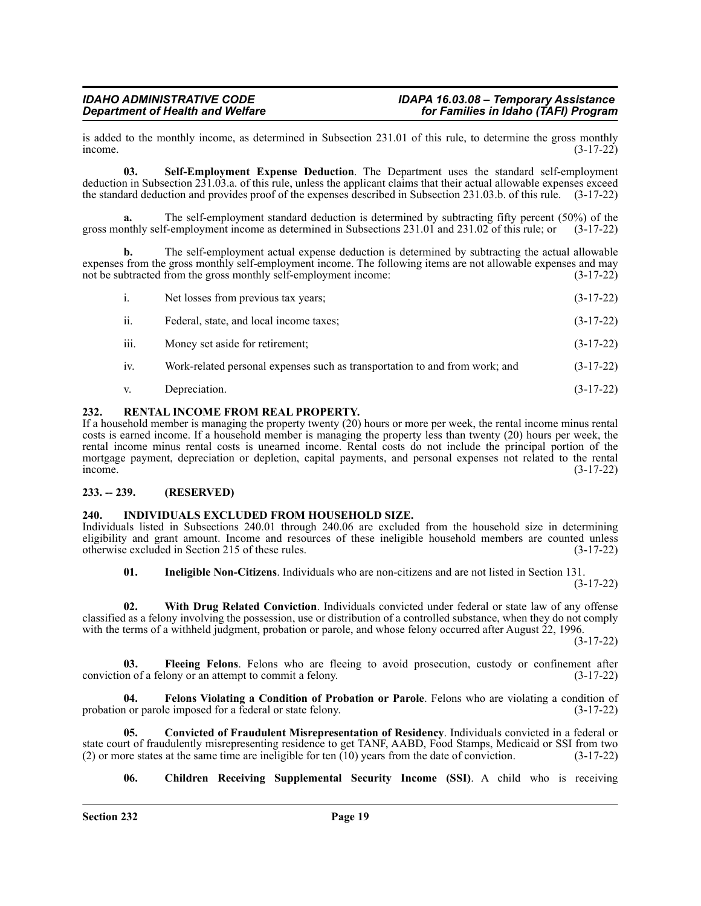is added to the monthly income, as determined in Subsection 231.01 of this rule, to determine the gross monthly income.<br>(3-17-22)  $i$  income.  $(3-17-22)$ 

**03. Self-Employment Expense Deduction**. The Department uses the standard self-employment deduction in Subsection 231.03.a. of this rule, unless the applicant claims that their actual allowable expenses exceed the standard deduction and provides proof of the expenses described in Subsection 231.03.b. of this rule. (3-17-22)

**a.** The self-employment standard deduction is determined by subtracting fifty percent (50%) of the gross monthly self-employment income as determined in Subsections 231.01 and 231.02 of this rule; or (3-17-22)

**b.** The self-employment actual expense deduction is determined by subtracting the actual allowable expenses from the gross monthly self-employment income. The following items are not allowable expenses and may<br>not be subtracted from the gross monthly self-employment income: (3-17-22) not be subtracted from the gross monthly self-employment income:

- i. Net losses from previous tax years; (3-17-22)
- ii. Federal, state, and local income taxes; (3-17-22)
- iii. Money set aside for retirement; (3-17-22)
- iv. Work-related personal expenses such as transportation to and from work; and (3-17-22)
- v. Depreciation. (3-17-22)

### <span id="page-18-0"></span>**232. RENTAL INCOME FROM REAL PROPERTY.**

If a household member is managing the property twenty (20) hours or more per week, the rental income minus rental costs is earned income. If a household member is managing the property less than twenty (20) hours per week, the rental income minus rental costs is unearned income. Rental costs do not include the principal portion of the mortgage payment, depreciation or depletion, capital payments, and personal expenses not related to the rental income. (3-17-22)

### <span id="page-18-1"></span>**233. -- 239. (RESERVED)**

### <span id="page-18-2"></span>**240. INDIVIDUALS EXCLUDED FROM HOUSEHOLD SIZE.**

Individuals listed in Subsections 240.01 through 240.06 are excluded from the household size in determining eligibility and grant amount. Income and resources of these ineligible household members are counted unless otherwise excluded in Section 215 of these rules. (3-17-22)

**01. Ineligible Non-Citizens**. Individuals who are non-citizens and are not listed in Section 131. (3-17-22)

**02. With Drug Related Conviction**. Individuals convicted under federal or state law of any offense classified as a felony involving the possession, use or distribution of a controlled substance, when they do not comply with the terms of a withheld judgment, probation or parole, and whose felony occurred after August 22, 1996.

(3-17-22)

**03. Fleeing Felons**. Felons who are fleeing to avoid prosecution, custody or confinement after conviction of a felony or an attempt to commit a felony. (3-17-22)

**04. Felons Violating a Condition of Probation or Parole**. Felons who are violating a condition of probation or parole imposed for a federal or state felony. (3-17-22)

**05. Convicted of Fraudulent Misrepresentation of Residency**. Individuals convicted in a federal or state court of fraudulently misrepresenting residence to get TANF, AABD, Food Stamps, Medicaid or SSI from two<br>(2) or more states at the same time are ineligible for ten (10) years from the date of conviction. (3-17-22) (2) or more states at the same time are ineligible for ten  $(10)$  years from the date of conviction.

### **06. Children Receiving Supplemental Security Income (SSI)**. A child who is receiving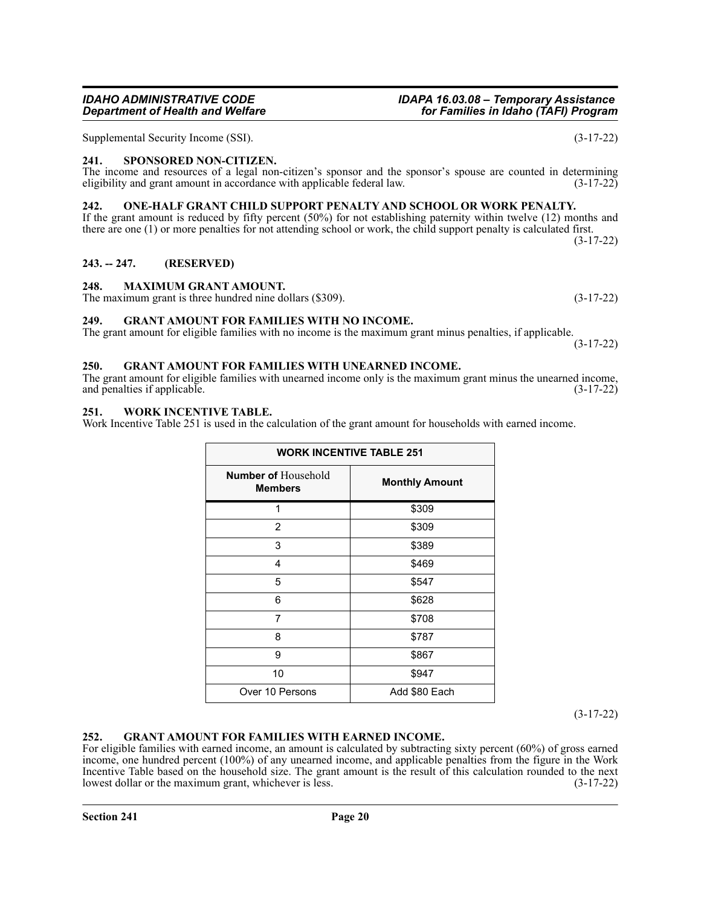## *IDAHO ADMINISTRATIVE CODE IDAPA 16.03.08 – Temporary Assistance*

Supplemental Security Income (SSI). (3-17-22)

### <span id="page-19-0"></span>**241. SPONSORED NON-CITIZEN.**

### The income and resources of a legal non-citizen's sponsor and the sponsor's spouse are counted in determining eligibility and grant amount in accordance with applicable federal law. (3-17-22)

### <span id="page-19-1"></span>**242. ONE-HALF GRANT CHILD SUPPORT PENALTY AND SCHOOL OR WORK PENALTY.**

If the grant amount is reduced by fifty percent (50%) for not establishing paternity within twelve (12) months and there are one (1) or more penalties for not attending school or work, the child support penalty is calculated first. (3-17-22)

### <span id="page-19-2"></span>**243. -- 247. (RESERVED)**

### <span id="page-19-3"></span>**248. MAXIMUM GRANT AMOUNT.**

The maximum grant is three hundred nine dollars (\$309). (3-17-22)

### <span id="page-19-4"></span>**249. GRANT AMOUNT FOR FAMILIES WITH NO INCOME.**

The grant amount for eligible families with no income is the maximum grant minus penalties, if applicable.

### <span id="page-19-5"></span>**250. GRANT AMOUNT FOR FAMILIES WITH UNEARNED INCOME.**

The grant amount for eligible families with unearned income only is the maximum grant minus the unearned income, and penalties if applicable. (3-17-22) and penalties if applicable.

### <span id="page-19-6"></span>**251. WORK INCENTIVE TABLE.**

Work Incentive Table 251 is used in the calculation of the grant amount for households with earned income.

| <b>WORK INCENTIVE TABLE 251</b>              |                       |  |
|----------------------------------------------|-----------------------|--|
| <b>Number of Household</b><br><b>Members</b> | <b>Monthly Amount</b> |  |
| 1                                            | \$309                 |  |
| 2                                            | \$309                 |  |
| 3                                            | \$389                 |  |
| 4                                            | \$469                 |  |
| 5                                            | \$547                 |  |
| 6                                            | \$628                 |  |
| 7                                            | \$708                 |  |
| 8                                            | \$787                 |  |
| 9                                            | \$867                 |  |
| 10                                           | \$947                 |  |
| Over 10 Persons                              | Add \$80 Each         |  |

(3-17-22)

### <span id="page-19-7"></span>**252. GRANT AMOUNT FOR FAMILIES WITH EARNED INCOME.**

For eligible families with earned income, an amount is calculated by subtracting sixty percent (60%) of gross earned income, one hundred percent (100%) of any unearned income, and applicable penalties from the figure in the Work Incentive Table based on the household size. The grant amount is the result of this calculation rounded to the next lowest dollar or the maximum grant, whichever is less. (3-17-22) lowest dollar or the maximum grant, whichever is less.

*Department of Health and Welfare for Families in Idaho (TAFI) Program*

(3-17-22)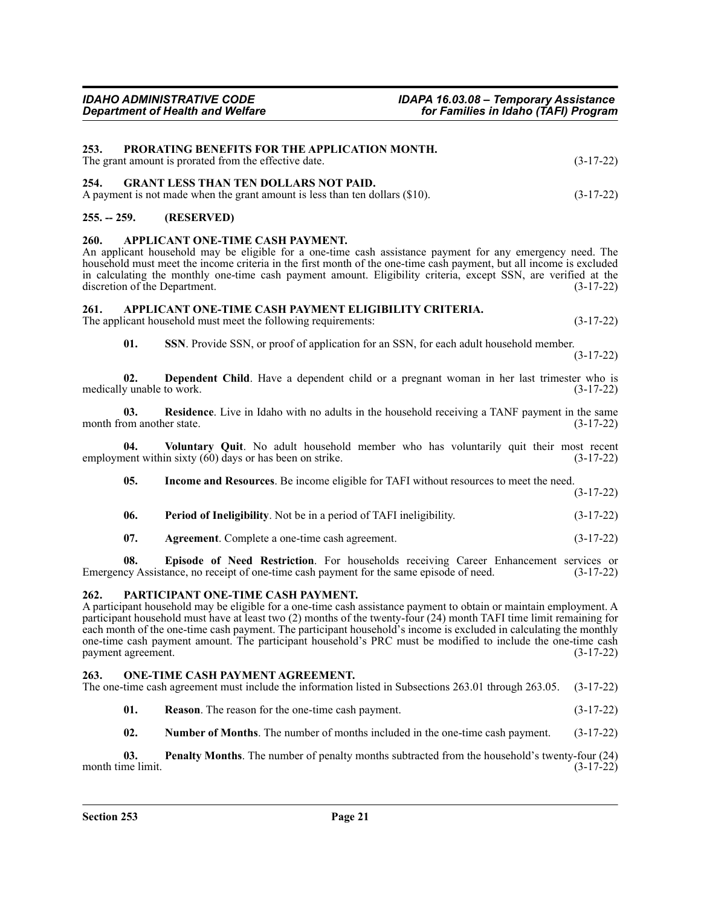<span id="page-20-1"></span><span id="page-20-0"></span>

|  | $(3-17-22)$                                                                                                                                                                                                                                                               |
|--|---------------------------------------------------------------------------------------------------------------------------------------------------------------------------------------------------------------------------------------------------------------------------|
|  | $(3-17-22)$                                                                                                                                                                                                                                                               |
|  | <b>PRORATING BENEFITS FOR THE APPLICATION MONTH.</b><br>The grant amount is prorated from the effective date.<br>254. GRANT LESS THAN TEN DOLLARS NOT PAID.<br>A payment is not made when the grant amount is less than ten dollars $(\$10)$ .<br>255. -- 259. (RESERVED) |

### <span id="page-20-3"></span><span id="page-20-2"></span>**260. APPLICANT ONE-TIME CASH PAYMENT.**

An applicant household may be eligible for a one-time cash assistance payment for any emergency need. The household must meet the income criteria in the first month of the one-time cash payment, but all income is excluded in calculating the monthly one-time cash payment amount. Eligibility criteria, except SSN, are verified at the discretion of the Department. (3-17-22)

### <span id="page-20-4"></span>**261. APPLICANT ONE-TIME CASH PAYMENT ELIGIBILITY CRITERIA.**

The applicant household must meet the following requirements:  $(3-17-22)$ 

**01. SSN**. Provide SSN, or proof of application for an SSN, for each adult household member. (3-17-22)

**02. Dependent Child**. Have a dependent child or a pregnant woman in her last trimester who is y unable to work. (3-17-22) medically unable to work.

**03. Residence**. Live in Idaho with no adults in the household receiving a TANF payment in the same om another state. (3-17-22) month from another state.

**04. Voluntary Quit**. No adult household member who has voluntarily quit their most recent employment within sixty (60) days or has been on strike. (3-17-22)

**05. Income and Resources**. Be income eligible for TAFI without resources to meet the need. (3-17-22)

| 06. | <b>Period of Ineligibility.</b> Not be in a period of TAFI ineligibility. | $(3-17-22)$ |
|-----|---------------------------------------------------------------------------|-------------|
|     |                                                                           |             |

**07. Agreement**. Complete a one-time cash agreement. (3-17-22)

**08. Episode of Need Restriction**. For households receiving Career Enhancement services or Emergency Assistance, no receipt of one-time cash payment for the same episode of need. (3-17-22)

### <span id="page-20-5"></span>**262. PARTICIPANT ONE-TIME CASH PAYMENT.**

A participant household may be eligible for a one-time cash assistance payment to obtain or maintain employment. A participant household must have at least two (2) months of the twenty-four (24) month TAFI time limit remaining for each month of the one-time cash payment. The participant household's income is excluded in calculating the monthly one-time cash payment amount. The participant household's PRC must be modified to include the one-time cash payment agreement. (3-17-22) payment agreement.

### <span id="page-20-6"></span>**263. ONE-TIME CASH PAYMENT AGREEMENT.**

| The one-time cash agreement must include the information listed in Subsections 263.01 through 263.05. (3-17-22) |  |
|-----------------------------------------------------------------------------------------------------------------|--|
|-----------------------------------------------------------------------------------------------------------------|--|

- **01. Reason**. The reason for the one-time cash payment. (3-17-22)
- **02. Number of Months**. The number of months included in the one-time cash payment. (3-17-22)

**03.** Penalty Months. The number of penalty months subtracted from the household's twenty-four (24) ne limit. (3-17-22) month time limit.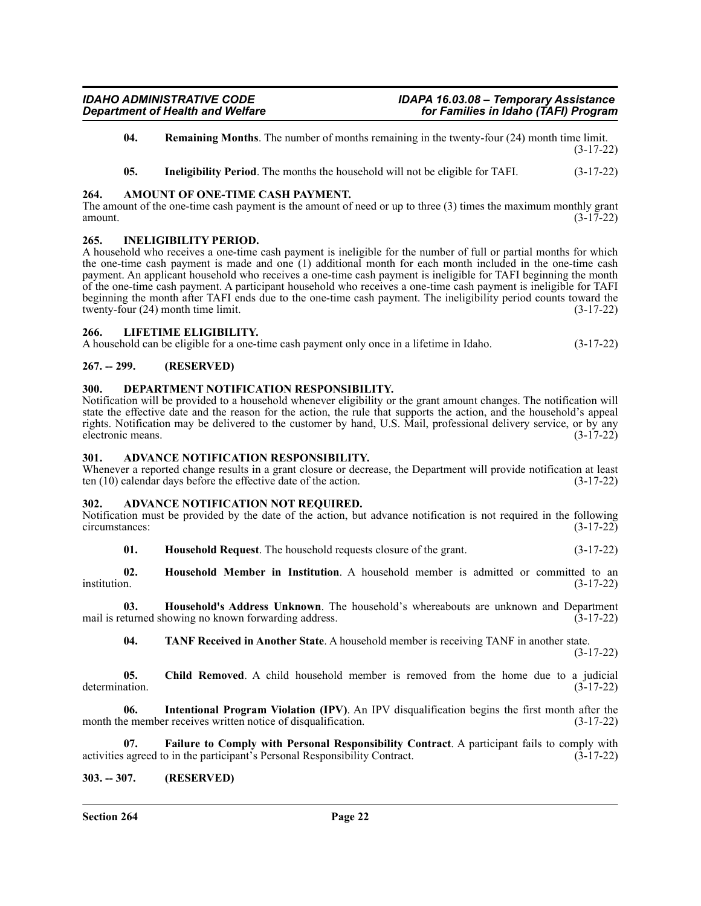- **04. Remaining Months**. The number of months remaining in the twenty-four (24) month time limit. (3-17-22)
- **05. Ineligibility Period**. The months the household will not be eligible for TAFI. (3-17-22)

### <span id="page-21-0"></span>**264. AMOUNT OF ONE-TIME CASH PAYMENT.**

The amount of the one-time cash payment is the amount of need or up to three (3) times the maximum monthly grant amount.  $(3-17-22)$ 

### <span id="page-21-1"></span>**265. INELIGIBILITY PERIOD.**

A household who receives a one-time cash payment is ineligible for the number of full or partial months for which the one-time cash payment is made and one (1) additional month for each month included in the one-time cash payment. An applicant household who receives a one-time cash payment is ineligible for TAFI beginning the month of the one-time cash payment. A participant household who receives a one-time cash payment is ineligible for TAFI beginning the month after TAFI ends due to the one-time cash payment. The ineligibility period counts toward the twenty-four (24) month time limit. (3-17-22)

### <span id="page-21-2"></span>**266. LIFETIME ELIGIBILITY.**

A household can be eligible for a one-time cash payment only once in a lifetime in Idaho. (3-17-22)

### <span id="page-21-3"></span>**267. -- 299. (RESERVED)**

### <span id="page-21-4"></span>**300. DEPARTMENT NOTIFICATION RESPONSIBILITY.**

Notification will be provided to a household whenever eligibility or the grant amount changes. The notification will state the effective date and the reason for the action, the rule that supports the action, and the household's appeal rights. Notification may be delivered to the customer by hand, U.S. Mail, professional delivery service, or by any electronic means. (3-17-22)

### <span id="page-21-5"></span>**301. ADVANCE NOTIFICATION RESPONSIBILITY.**

Whenever a reported change results in a grant closure or decrease, the Department will provide notification at least ten (10) calendar days before the effective date of the action. (3-17-22)

### <span id="page-21-6"></span>**302. ADVANCE NOTIFICATION NOT REQUIRED.**

Notification must be provided by the date of the action, but advance notification is not required in the following circumstances: (3-17-22) circumstances:

**01. Household Request**. The household requests closure of the grant. (3-17-22)

**02.** Household Member in Institution. A household member is admitted or committed to an institution. (3-17-22) institution. (3-17-22)

**03. Household's Address Unknown**. The household's whereabouts are unknown and Department mail is returned showing no known forwarding address. (3-17-22)

**04. TANF Received in Another State**. A household member is receiving TANF in another state. (3-17-22)

**05. Child Removed**. A child household member is removed from the home due to a judicial determination. (3-17-22)

**06. Intentional Program Violation (IPV)**. An IPV disqualification begins the first month after the month the member receives written notice of disqualification. (3-17-22)

**07.** Failure to Comply with Personal Responsibility Contract. A participant fails to comply with agreed to in the participant's Personal Responsibility Contract. (3-17-22) activities agreed to in the participant's Personal Responsibility Contract.

### <span id="page-21-7"></span>**303. -- 307. (RESERVED)**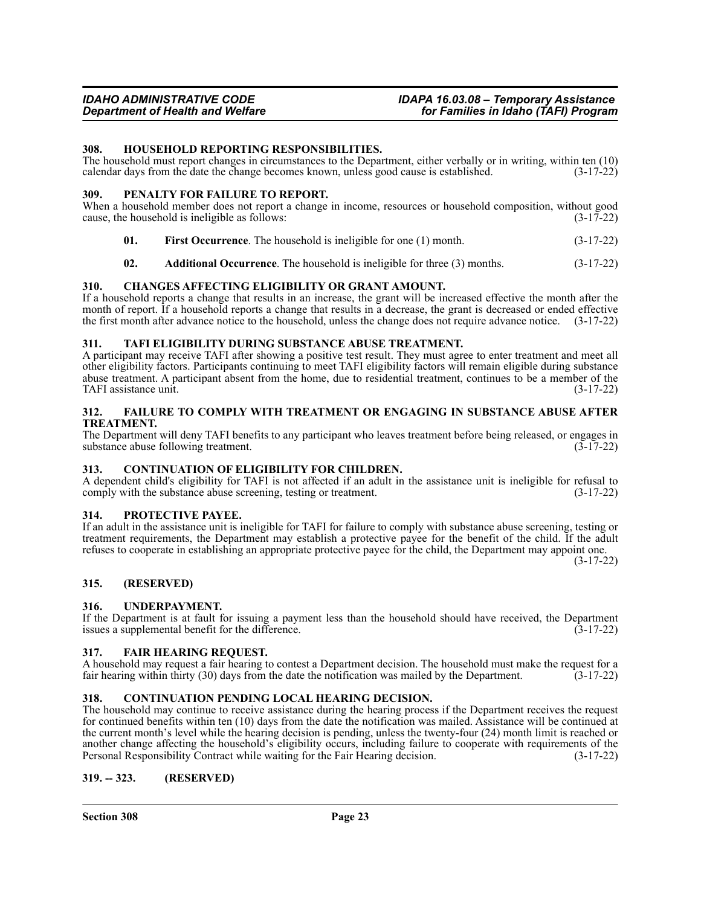### *IDAHO ADMINISTRATIVE CODE IDAPA 16.03.08 – Temporary Assistance Department of Health and Welfare for Families in Idaho (TAFI) Program*

### <span id="page-22-0"></span>**308. HOUSEHOLD REPORTING RESPONSIBILITIES.**

The household must report changes in circumstances to the Department, either verbally or in writing, within ten (10) calendar days from the date the change becomes known, unless good cause is established. (3-17-22)

### <span id="page-22-1"></span>**309. PENALTY FOR FAILURE TO REPORT.**

When a household member does not report a change in income, resources or household composition, without good cause, the household is ineligible as follows:  $(3-17-22)$ 

- **01. First Occurrence**. The household is ineligible for one (1) month. (3-17-22)
- **02. Additional Occurrence**. The household is ineligible for three (3) months. (3-17-22)

### <span id="page-22-2"></span>**310. CHANGES AFFECTING ELIGIBILITY OR GRANT AMOUNT.**

If a household reports a change that results in an increase, the grant will be increased effective the month after the month of report. If a household reports a change that results in a decrease, the grant is decreased or ended effective the first month after advance notice to the household, unless the change does not require advance notice. (3-17-22)

### <span id="page-22-3"></span>**311. TAFI ELIGIBILITY DURING SUBSTANCE ABUSE TREATMENT.**

A participant may receive TAFI after showing a positive test result. They must agree to enter treatment and meet all other eligibility factors. Participants continuing to meet TAFI eligibility factors will remain eligible during substance abuse treatment. A participant absent from the home, due to residential treatment, continues to be a member of the TAFI assistance unit. (3-17-22) TAFI assistance unit.

### <span id="page-22-4"></span>**312. FAILURE TO COMPLY WITH TREATMENT OR ENGAGING IN SUBSTANCE ABUSE AFTER TREATMENT.**

The Department will deny TAFI benefits to any participant who leaves treatment before being released, or engages in substance abuse following treatment. (3-17-22) substance abuse following treatment.

### <span id="page-22-5"></span>**313. CONTINUATION OF ELIGIBILITY FOR CHILDREN.**

A dependent child's eligibility for TAFI is not affected if an adult in the assistance unit is ineligible for refusal to comply with the substance abuse screening, testing or treatment. (3-17-22)

### <span id="page-22-6"></span>**314. PROTECTIVE PAYEE.**

If an adult in the assistance unit is ineligible for TAFI for failure to comply with substance abuse screening, testing or treatment requirements, the Department may establish a protective payee for the benefit of the child. If the adult refuses to cooperate in establishing an appropriate protective payee for the child, the Department may appoint one.

(3-17-22)

### <span id="page-22-7"></span>**315. (RESERVED)**

### <span id="page-22-8"></span>**316. UNDERPAYMENT.**

If the Department is at fault for issuing a payment less than the household should have received, the Department issues a supplemental benefit for the difference. (3-17-22) issues a supplemental benefit for the difference.

### <span id="page-22-9"></span>**317. FAIR HEARING REQUEST.**

A household may request a fair hearing to contest a Department decision. The household must make the request for a fair hearing within thirty (30) days from the date the notification was mailed by the Department. (3-17-22)

### <span id="page-22-10"></span>**318. CONTINUATION PENDING LOCAL HEARING DECISION.**

The household may continue to receive assistance during the hearing process if the Department receives the request for continued benefits within ten (10) days from the date the notification was mailed. Assistance will be continued at the current month's level while the hearing decision is pending, unless the twenty-four (24) month limit is reached or another change affecting the household's eligibility occurs, including failure to cooperate with requirements of the Personal Responsibility Contract while waiting for the Fair Hearing decision. (3-17-22) Personal Responsibility Contract while waiting for the Fair Hearing decision.

### <span id="page-22-11"></span>**319. -- 323. (RESERVED)**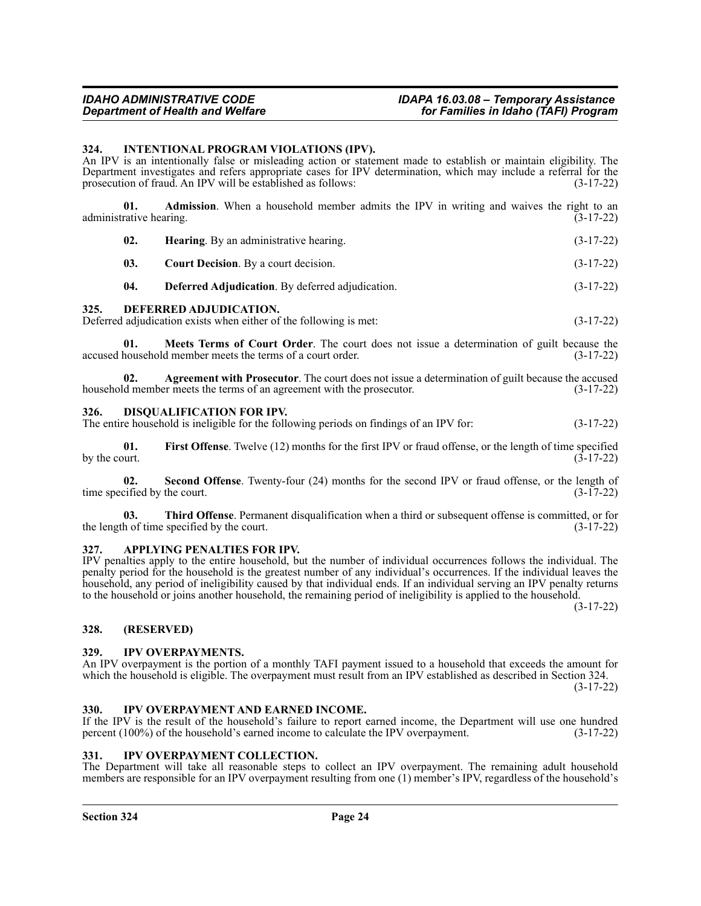### *IDAHO ADMINISTRATIVE CODE IDAPA 16.03.08 – Temporary Assistance Department of Health and Welfare for Families in Idaho (TAFI) Program*

### <span id="page-23-0"></span>**324. INTENTIONAL PROGRAM VIOLATIONS (IPV).**

An IPV is an intentionally false or misleading action or statement made to establish or maintain eligibility. The Department investigates and refers appropriate cases for IPV determination, which may include a referral for the prosecution of fraud. An IPV will be established as follows: (3-17-22)

**01. Admission**. When a household member admits the IPV in writing and waives the right to an rative hearing. (3-17-22) administrative hearing.

| 02. | <b>Hearing.</b> By an administrative hearing. | $(3-17-22)$ |
|-----|-----------------------------------------------|-------------|
| 03. | <b>Court Decision.</b> By a court decision.   | $(3-17-22)$ |
|     |                                               |             |

## **04. Deferred Adjudication**. By deferred adjudication. (3-17-22)

### <span id="page-23-1"></span>**325. DEFERRED ADJUDICATION.**

Deferred adjudication exists when either of the following is met: (3-17-22)

**01. Meets Terms of Court Order**. The court does not issue a determination of guilt because the household member meets the terms of a court order. (3-17-22) accused household member meets the terms of a court order.

**02.** Agreement with Prosecutor. The court does not issue a determination of guilt because the accused d member meets the terms of an agreement with the prosecutor. (3-17-22) household member meets the terms of an agreement with the prosecutor.

### <span id="page-23-2"></span>**326. DISQUALIFICATION FOR IPV.**

The entire household is ineligible for the following periods on findings of an IPV for: (3-17-22)

**01. First Offense**. Twelve (12) months for the first IPV or fraud offense, or the length of time specified ourt. by the court.

**02. Second Offense**. Twenty-four (24) months for the second IPV or fraud offense, or the length of time specified by the court.  $(3-17-22)$ 

**03.** Third Offense. Permanent disqualification when a third or subsequent offense is committed, or for h of time specified by the court. the length of time specified by the court.

### <span id="page-23-3"></span>**327. APPLYING PENALTIES FOR IPV.**

IPV penalties apply to the entire household, but the number of individual occurrences follows the individual. The penalty period for the household is the greatest number of any individual's occurrences. If the individual leaves the household, any period of ineligibility caused by that individual ends. If an individual serving an IPV penalty returns to the household or joins another household, the remaining period of ineligibility is applied to the household.

(3-17-22)

### <span id="page-23-4"></span>**328. (RESERVED)**

### <span id="page-23-5"></span>**329. IPV OVERPAYMENTS.**

An IPV overpayment is the portion of a monthly TAFI payment issued to a household that exceeds the amount for which the household is eligible. The overpayment must result from an IPV established as described in Section 324. (3-17-22)

### <span id="page-23-6"></span>**330. IPV OVERPAYMENT AND EARNED INCOME.**

If the IPV is the result of the household's failure to report earned income, the Department will use one hundred percent (100%) of the household's earned income to calculate the IPV overpayment. (3-17-22)

### <span id="page-23-7"></span>**331. IPV OVERPAYMENT COLLECTION.**

The Department will take all reasonable steps to collect an IPV overpayment. The remaining adult household members are responsible for an IPV overpayment resulting from one (1) member's IPV, regardless of the household's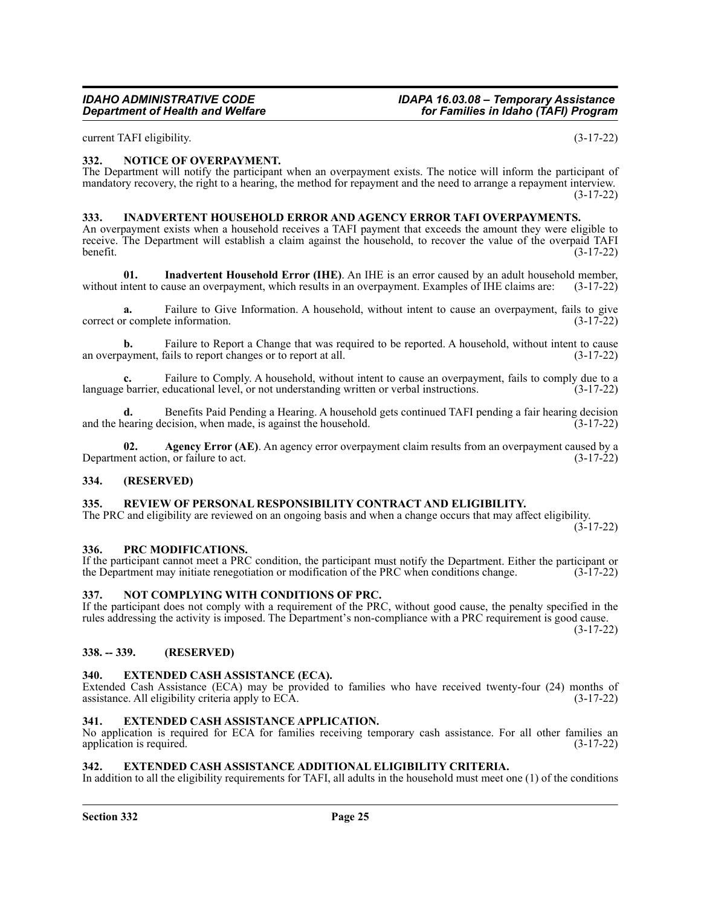current TAFI eligibility. (3-17-22)

### <span id="page-24-0"></span>**332. NOTICE OF OVERPAYMENT.**

The Department will notify the participant when an overpayment exists. The notice will inform the participant of mandatory recovery, the right to a hearing, the method for repayment and the need to arrange a repayment interview. (3-17-22)

### <span id="page-24-1"></span>**333. INADVERTENT HOUSEHOLD ERROR AND AGENCY ERROR TAFI OVERPAYMENTS.**

An overpayment exists when a household receives a TAFI payment that exceeds the amount they were eligible to receive. The Department will establish a claim against the household, to recover the value of the overpaid TAFI benefit. (3-17-22)

**01. Inadvertent Household Error (IHE)**. An IHE is an error caused by an adult household member, without intent to cause an overpayment, which results in an overpayment. Examples of IHE claims are: (3-17-22)

**a.** Failure to Give Information. A household, without intent to cause an overpayment, fails to give r complete information. (3-17-22) correct or complete information.

**b.** Failure to Report a Change that was required to be reported. A household, without intent to cause ayment, fails to report changes or to report at all. an overpayment, fails to report changes or to report at all.

**c.** Failure to Comply. A household, without intent to cause an overpayment, fails to comply due to a barrier, educational level, or not understanding written or verbal instructions. (3-17-22) language barrier, educational level, or not understanding written or verbal instructions.

**d.** Benefits Paid Pending a Hearing. A household gets continued TAFI pending a fair hearing decision earing decision, when made, is against the household. and the hearing decision, when made, is against the household.

**02. Agency Error (AE)**. An agency error overpayment claim results from an overpayment caused by a Department action, or failure to act. (3-17-22)

### <span id="page-24-2"></span>**334. (RESERVED)**

### <span id="page-24-3"></span>**335. REVIEW OF PERSONAL RESPONSIBILITY CONTRACT AND ELIGIBILITY.**

The PRC and eligibility are reviewed on an ongoing basis and when a change occurs that may affect eligibility.

 $(3 - 17 - 22)$ 

### <span id="page-24-4"></span>**336. PRC MODIFICATIONS.**

If the participant cannot meet a PRC condition, the participant must notify the Department. Either the participant or the Department may initiate renegotiation or modification of the PRC when conditions change. (3-17-22)

### <span id="page-24-5"></span>**337. NOT COMPLYING WITH CONDITIONS OF PRC.**

If the participant does not comply with a requirement of the PRC, without good cause, the penalty specified in the rules addressing the activity is imposed. The Department's non-compliance with a PRC requirement is good cause.

(3-17-22)

### <span id="page-24-6"></span>**338. -- 339. (RESERVED)**

### <span id="page-24-7"></span>**340. EXTENDED CASH ASSISTANCE (ECA).**

Extended Cash Assistance (ECA) may be provided to families who have received twenty-four (24) months of assistance. All eligibility criteria apply to ECA. (3-17-22) assistance. All eligibility criteria apply to ECA.

### <span id="page-24-8"></span>**341. EXTENDED CASH ASSISTANCE APPLICATION.**

No application is required for ECA for families receiving temporary cash assistance. For all other families an application is required. (3-17-22)

### <span id="page-24-9"></span>**342. EXTENDED CASH ASSISTANCE ADDITIONAL ELIGIBILITY CRITERIA.**

In addition to all the eligibility requirements for TAFI, all adults in the household must meet one (1) of the conditions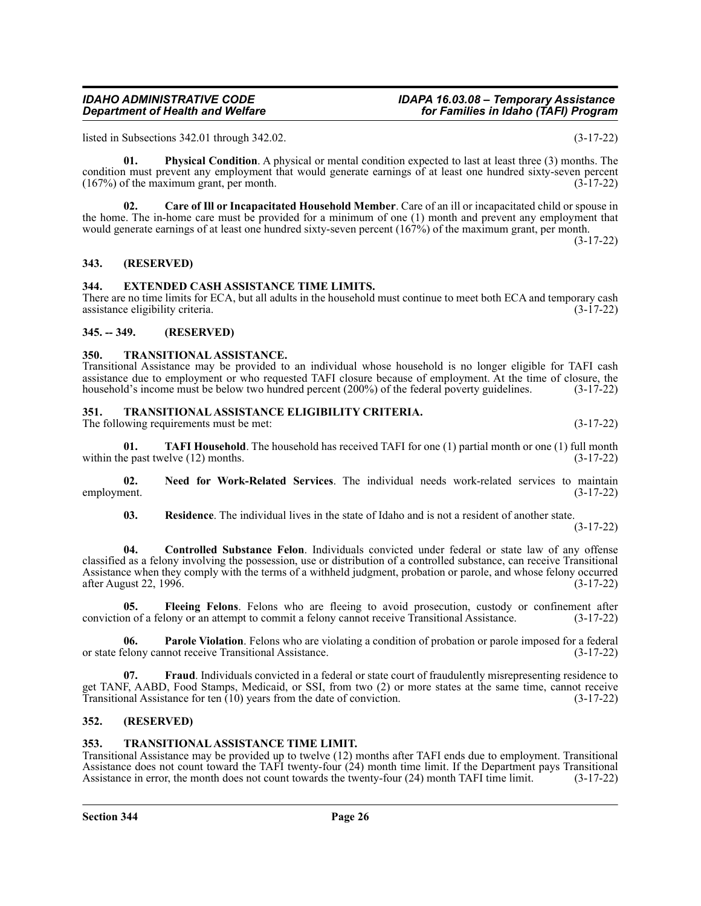listed in Subsections 342.01 through 342.02. (3-17-22)

**01. Physical Condition**. A physical or mental condition expected to last at least three (3) months. The condition must prevent any employment that would generate earnings of at least one hundred sixty-seven percent (167%) of the maximum grant, per month. (3-17-22)

**02. Care of Ill or Incapacitated Household Member**. Care of an ill or incapacitated child or spouse in the home. The in-home care must be provided for a minimum of one (1) month and prevent any employment that would generate earnings of at least one hundred sixty-seven percent (167%) of the maximum grant, per month. (3-17-22)

<span id="page-25-0"></span>**343. (RESERVED)**

### <span id="page-25-1"></span>**344. EXTENDED CASH ASSISTANCE TIME LIMITS.**

There are no time limits for ECA, but all adults in the household must continue to meet both ECA and temporary cash assistance eligibility criteria. (3-17-22) assistance eligibility criteria.

### <span id="page-25-2"></span>**345. -- 349. (RESERVED)**

### <span id="page-25-3"></span>**350. TRANSITIONAL ASSISTANCE.**

Transitional Assistance may be provided to an individual whose household is no longer eligible for TAFI cash assistance due to employment or who requested TAFI closure because of employment. At the time of closure, the household's income must be below two hundred percent (200%) of the federal poverty guidelines. (3-17-22)

### <span id="page-25-4"></span>**351. TRANSITIONAL ASSISTANCE ELIGIBILITY CRITERIA.**

The following requirements must be met: (3-17-22)

**01. TAFI Household**. The household has received TAFI for one (1) partial month or one (1) full month within the past twelve  $(12)$  months.  $(3-17-22)$ 

**02.** Need for Work-Related Services. The individual needs work-related services to maintain employment. (3-17-22) employment. (3-17-22)

**03.** Residence. The individual lives in the state of Idaho and is not a resident of another state.

(3-17-22)

**04. Controlled Substance Felon**. Individuals convicted under federal or state law of any offense classified as a felony involving the possession, use or distribution of a controlled substance, can receive Transitional Assistance when they comply with the terms of a withheld judgment, probation or parole, and whose felony occurred after August 22, 1996. (3-17-22) after August 22, 1996.

**05. Fleeing Felons**. Felons who are fleeing to avoid prosecution, custody or confinement after conviction of a felony or an attempt to commit a felony cannot receive Transitional Assistance. (3-17-22)

**06. Parole Violation**. Felons who are violating a condition of probation or parole imposed for a federal elony cannot receive Transitional Assistance. or state felony cannot receive Transitional Assistance.

**07. Fraud**. Individuals convicted in a federal or state court of fraudulently misrepresenting residence to get TANF, AABD, Food Stamps, Medicaid, or SSI, from two (2) or more states at the same time, cannot receive<br>Transitional Assistance for ten (10) years from the date of conviction. (3-17-22) Transitional Assistance for ten  $(10)$  years from the date of conviction.

### <span id="page-25-5"></span>**352. (RESERVED)**

### <span id="page-25-6"></span>**353. TRANSITIONAL ASSISTANCE TIME LIMIT.**

Transitional Assistance may be provided up to twelve (12) months after TAFI ends due to employment. Transitional Assistance does not count toward the TAFI twenty-four (24) month time limit. If the Department pays Transitional Assistance in error, the month does not count towards the twenty-four (24) month TAFI time limit. (3-17-22)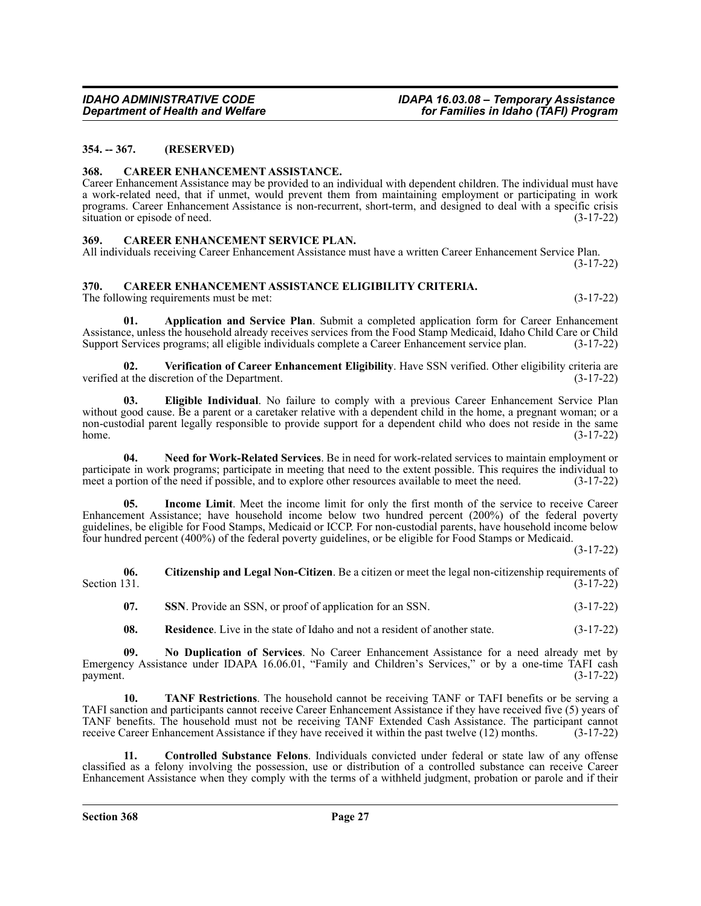### <span id="page-26-0"></span>**354. -- 367. (RESERVED)**

### <span id="page-26-1"></span>**368. CAREER ENHANCEMENT ASSISTANCE.**

Career Enhancement Assistance may be provided to an individual with dependent children. The individual must have a work-related need, that if unmet, would prevent them from maintaining employment or participating in work programs. Career Enhancement Assistance is non-recurrent, short-term, and designed to deal with a specific crisis  $\frac{1}{3}$  situation or episode of need. (3-17-22)

### <span id="page-26-2"></span>**369. CAREER ENHANCEMENT SERVICE PLAN.**

All individuals receiving Career Enhancement Assistance must have a written Career Enhancement Service Plan. (3-17-22)

### <span id="page-26-3"></span>**370. CAREER ENHANCEMENT ASSISTANCE ELIGIBILITY CRITERIA.**

The following requirements must be met:  $(3-17-22)$ 

**01. Application and Service Plan**. Submit a completed application form for Career Enhancement Assistance, unless the household already receives services from the Food Stamp Medicaid, Idaho Child Care or Child Support Services programs; all eligible individuals complete a Career Enhancement service plan. (3-17-22)

**02.** Verification of Career Enhancement Eligibility. Have SSN verified. Other eligibility criteria are at the discretion of the Department. verified at the discretion of the Department.

**03. Eligible Individual**. No failure to comply with a previous Career Enhancement Service Plan without good cause. Be a parent or a caretaker relative with a dependent child in the home, a pregnant woman; or a non-custodial parent legally responsible to provide support for a dependent child who does not reside in the same home. (3-17-22)

**04. Need for Work-Related Services**. Be in need for work-related services to maintain employment or participate in work programs; participate in meeting that need to the extent possible. This requires the individual to meet a portion of the need if possible, and to explore other resources available to meet the need. (3-17-22)

**05. Income Limit**. Meet the income limit for only the first month of the service to receive Career Enhancement Assistance; have household income below two hundred percent (200%) of the federal poverty guidelines, be eligible for Food Stamps, Medicaid or ICCP. For non-custodial parents, have household income below four hundred percent (400%) of the federal poverty guidelines, or be eligible for Food Stamps or Medicaid.

(3-17-22)

**06.** Citizenship and Legal Non-Citizen. Be a citizen or meet the legal non-citizenship requirements of Section 131. (3-17-22) Section 131.  $(3-17-22)$ 

**07. SSN**. Provide an SSN, or proof of application for an SSN.  $(3-17-22)$ 

**08.** Residence. Live in the state of Idaho and not a resident of another state.  $(3-17-22)$ 

**09. No Duplication of Services**. No Career Enhancement Assistance for a need already met by Emergency Assistance under IDAPA 16.06.01, "Family and Children's Services," or by a one-time TAFI cash  $p$ ayment.  $(3-17-22)$ 

**10. TANF Restrictions**. The household cannot be receiving TANF or TAFI benefits or be serving a TAFI sanction and participants cannot receive Career Enhancement Assistance if they have received five (5) years of TANF benefits. The household must not be receiving TANF Extended Cash Assistance. The participant cannot receive Career Enhancement Assistance if they have received it within the past twelve (12) months. (3-17-22)

**11. Controlled Substance Felons**. Individuals convicted under federal or state law of any offense classified as a felony involving the possession, use or distribution of a controlled substance can receive Career Enhancement Assistance when they comply with the terms of a withheld judgment, probation or parole and if their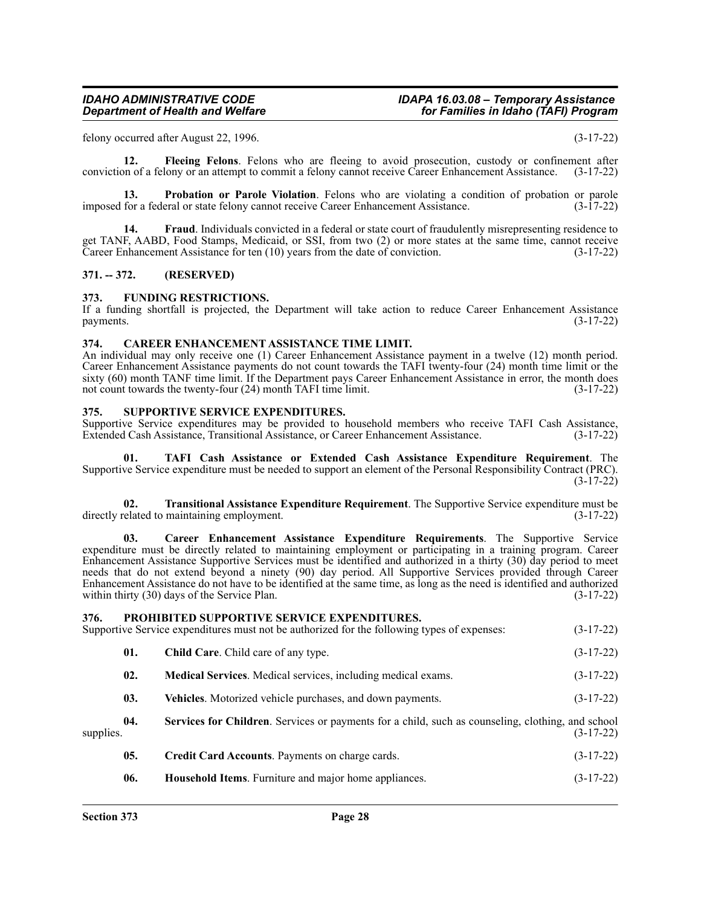felony occurred after August 22, 1996. (3-17-22)

**12. Fleeing Felons**. Felons who are fleeing to avoid prosecution, custody or confinement after conviction of a felony or an attempt to commit a felony cannot receive Career Enhancement Assistance. (3-17-22)

**13. Probation or Parole Violation**. Felons who are violating a condition of probation or parole for a federal or state felony cannot receive Career Enhancement Assistance. (3-17-22) imposed for a federal or state felony cannot receive Career Enhancement Assistance.

**14. Fraud**. Individuals convicted in a federal or state court of fraudulently misrepresenting residence to get TANF, AABD, Food Stamps, Medicaid, or SSI, from two (2) or more states at the same time, cannot receive Career Enhancement Assistance for ten  $(10)$  years from the date of conviction.  $(3-17-22)$ 

### <span id="page-27-0"></span>**371. -- 372. (RESERVED)**

### <span id="page-27-1"></span>**373. FUNDING RESTRICTIONS.**

If a funding shortfall is projected, the Department will take action to reduce Career Enhancement Assistance payments. (3-17-22)

### <span id="page-27-2"></span>**374. CAREER ENHANCEMENT ASSISTANCE TIME LIMIT.**

An individual may only receive one (1) Career Enhancement Assistance payment in a twelve (12) month period. Career Enhancement Assistance payments do not count towards the TAFI twenty-four (24) month time limit or the sixty (60) month TANF time limit. If the Department pays Career Enhancement Assistance in error, the month does not count towards the twenty-four (24) month TAFI time limit. (3-17-22)

### <span id="page-27-3"></span>**375. SUPPORTIVE SERVICE EXPENDITURES.**

Supportive Service expenditures may be provided to household members who receive TAFI Cash Assistance, Extended Cash Assistance, Transitional Assistance, or Career Enhancement Assistance. (3-17-22)

**01. TAFI Cash Assistance or Extended Cash Assistance Expenditure Requirement**. The Supportive Service expenditure must be needed to support an element of the Personal Responsibility Contract (PRC). (3-17-22)

**02. Transitional Assistance Expenditure Requirement**. The Supportive Service expenditure must be directly related to maintaining employment. (3-17-22)

**03. Career Enhancement Assistance Expenditure Requirements**. The Supportive Service expenditure must be directly related to maintaining employment or participating in a training program. Career Enhancement Assistance Supportive Services must be identified and authorized in a thirty (30) day period to meet needs that do not extend beyond a ninety (90) day period. All Supportive Services provided through Career Enhancement Assistance do not have to be identified at the same time, as long as the need is identified and authorized within thirty  $(30)$  days of the Service Plan.  $(3-17-22)$ 

<span id="page-27-4"></span>

| 376.      |     | <b>PROHIBITED SUPPORTIVE SERVICE EXPENDITURES.</b><br>Supportive Service expenditures must not be authorized for the following types of expenses: | $(3-17-22)$ |
|-----------|-----|---------------------------------------------------------------------------------------------------------------------------------------------------|-------------|
| supplies. | 01. | <b>Child Care.</b> Child care of any type.                                                                                                        | $(3-17-22)$ |
|           | 02. | Medical Services. Medical services, including medical exams.                                                                                      | $(3-17-22)$ |
|           | 03. | Vehicles. Motorized vehicle purchases, and down payments.                                                                                         | $(3-17-22)$ |
|           | 04. | Services for Children. Services or payments for a child, such as counseling, clothing, and school                                                 | $(3-17-22)$ |
|           | 05. | Credit Card Accounts. Payments on charge cards.                                                                                                   | $(3-17-22)$ |
|           | 06. | Household Items. Furniture and major home appliances.                                                                                             | $(3-17-22)$ |
|           |     |                                                                                                                                                   |             |